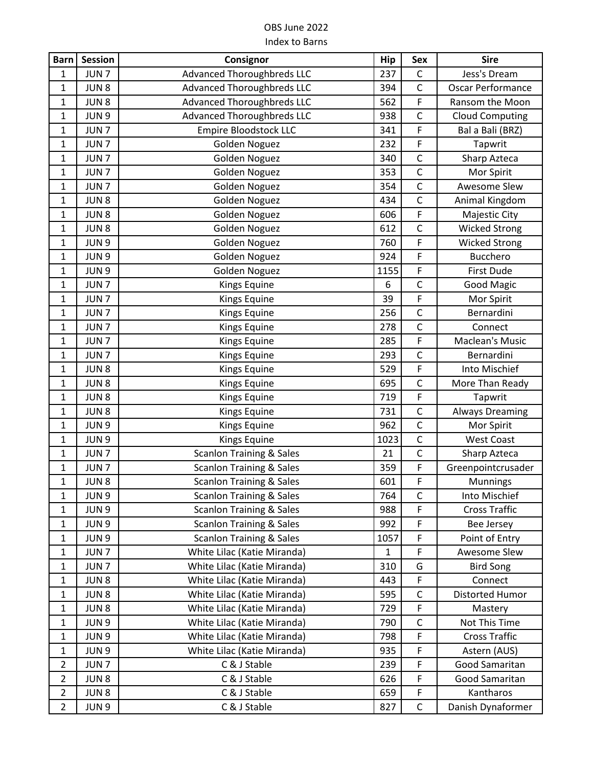| <b>Barn</b>    | <b>Session</b>   | Consignor                           | Hip          | Sex          | <b>Sire</b>            |
|----------------|------------------|-------------------------------------|--------------|--------------|------------------------|
| $\mathbf{1}$   | JUN <sub>7</sub> | <b>Advanced Thoroughbreds LLC</b>   | 237          | $\mathsf C$  | Jess's Dream           |
| $\mathbf{1}$   | JUN <sub>8</sub> | <b>Advanced Thoroughbreds LLC</b>   | 394          | $\mathsf C$  | Oscar Performance      |
| $\mathbf{1}$   | JUN <sub>8</sub> | <b>Advanced Thoroughbreds LLC</b>   | 562          | F            | Ransom the Moon        |
| 1              | JUN 9            | <b>Advanced Thoroughbreds LLC</b>   | 938          | $\mathsf{C}$ | <b>Cloud Computing</b> |
| $\mathbf{1}$   | JUN <sub>7</sub> | <b>Empire Bloodstock LLC</b>        | 341          | $\mathsf F$  | Bal a Bali (BRZ)       |
| $\mathbf{1}$   | JUN <sub>7</sub> | Golden Noguez                       | 232          | F            | Tapwrit                |
| $\mathbf{1}$   | JUN <sub>7</sub> | Golden Noguez                       | 340          | $\mathsf C$  | Sharp Azteca           |
| $\mathbf{1}$   | JUN <sub>7</sub> | Golden Noguez                       | 353          | $\mathsf C$  | Mor Spirit             |
| 1              | JUN <sub>7</sub> | Golden Noguez                       | 354          | $\mathsf C$  | Awesome Slew           |
| $\mathbf{1}$   | JUN <sub>8</sub> | Golden Noguez                       | 434          | $\mathsf C$  | Animal Kingdom         |
| $\mathbf{1}$   | JUN8             | <b>Golden Noguez</b>                | 606          | F            | Majestic City          |
| $\mathbf{1}$   | JUN <sub>8</sub> | <b>Golden Noguez</b>                | 612          | $\mathsf C$  | <b>Wicked Strong</b>   |
| $\mathbf{1}$   | JUN 9            | Golden Noguez                       | 760          | F            | <b>Wicked Strong</b>   |
| $\mathbf{1}$   | JUN 9            | Golden Noguez                       | 924          | F            | Bucchero               |
| $\mathbf{1}$   | JUN 9            | Golden Noguez                       | 1155         | $\mathsf F$  | First Dude             |
| $\mathbf{1}$   | JUN <sub>7</sub> | Kings Equine                        | 6            | $\mathsf{C}$ | <b>Good Magic</b>      |
| $\mathbf{1}$   | JUN <sub>7</sub> | Kings Equine                        | 39           | F            | Mor Spirit             |
| 1              | JUN <sub>7</sub> | Kings Equine                        | 256          | $\mathsf{C}$ | Bernardini             |
| $\mathbf{1}$   | JUN <sub>7</sub> | Kings Equine                        | 278          | $\mathsf{C}$ | Connect                |
| $\mathbf{1}$   | JUN <sub>7</sub> | Kings Equine                        | 285          | F            | Maclean's Music        |
| $\mathbf{1}$   | JUN <sub>7</sub> | Kings Equine                        | 293          | $\mathsf C$  | Bernardini             |
| $\mathbf 1$    | JUN <sub>8</sub> | Kings Equine                        | 529          | F            | Into Mischief          |
| $\mathbf{1}$   | JUN <sub>8</sub> | Kings Equine                        | 695          | $\mathsf{C}$ | More Than Ready        |
| $\mathbf{1}$   | JUN <sub>8</sub> | Kings Equine                        | 719          | F            | Tapwrit                |
| $\mathbf{1}$   | JUN <sub>8</sub> | Kings Equine                        | 731          | $\mathsf{C}$ | <b>Always Dreaming</b> |
| $\mathbf{1}$   | JUN 9            | Kings Equine                        | 962          | $\mathsf C$  | Mor Spirit             |
| $\mathbf{1}$   | JUN 9            | <b>Kings Equine</b>                 | 1023         | $\mathsf{C}$ | <b>West Coast</b>      |
| 1              | JUN <sub>7</sub> | <b>Scanlon Training &amp; Sales</b> | 21           | $\mathsf C$  | Sharp Azteca           |
| 1              | JUN <sub>7</sub> | <b>Scanlon Training &amp; Sales</b> | 359          | F            | Greenpointcrusader     |
| 1              | JUN <sub>8</sub> | <b>Scanlon Training &amp; Sales</b> | 601          | F            | <b>Munnings</b>        |
| 1              | JUN <sub>9</sub> | <b>Scanlon Training &amp; Sales</b> | 764          | C            | Into Mischief          |
| $\mathbf{1}$   | JUN 9            | <b>Scanlon Training &amp; Sales</b> | 988          | F            | <b>Cross Traffic</b>   |
| $\mathbf{1}$   | JUN 9            | <b>Scanlon Training &amp; Sales</b> | 992          | F            | <b>Bee Jersey</b>      |
| $\mathbf{1}$   | JUN <sub>9</sub> | <b>Scanlon Training &amp; Sales</b> | 1057         | F            | Point of Entry         |
| $\mathbf{1}$   | JUN <sub>7</sub> | White Lilac (Katie Miranda)         | $\mathbf{1}$ | F            | Awesome Slew           |
| $\mathbf{1}$   | JUN <sub>7</sub> | White Lilac (Katie Miranda)         | 310          | G            | <b>Bird Song</b>       |
| $\mathbf{1}$   | JUN 8            | White Lilac (Katie Miranda)         | 443          | F            | Connect                |
| $\mathbf{1}$   | JUN <sub>8</sub> | White Lilac (Katie Miranda)         | 595          | $\mathsf C$  | Distorted Humor        |
| $\mathbf{1}$   | JUN <sub>8</sub> | White Lilac (Katie Miranda)         | 729          | F            | Mastery                |
| $\mathbf{1}$   | JUN 9            | White Lilac (Katie Miranda)         | 790          | $\mathsf C$  | Not This Time          |
| $\mathbf{1}$   | JUN 9            | White Lilac (Katie Miranda)         | 798          | F            | <b>Cross Traffic</b>   |
| $\mathbf{1}$   | JUN 9            | White Lilac (Katie Miranda)         | 935          | F            | Astern (AUS)           |
| $\overline{2}$ | JUN <sub>7</sub> | C & J Stable                        | 239          | F            | Good Samaritan         |
| $\overline{2}$ | JUN <sub>8</sub> | C & J Stable                        | 626          | F            | Good Samaritan         |
| $\overline{2}$ | JUN <sub>8</sub> | C & J Stable                        | 659          | F            | Kantharos              |
| $\overline{2}$ | JUN 9            | C & J Stable                        | 827          | $\mathsf C$  | Danish Dynaformer      |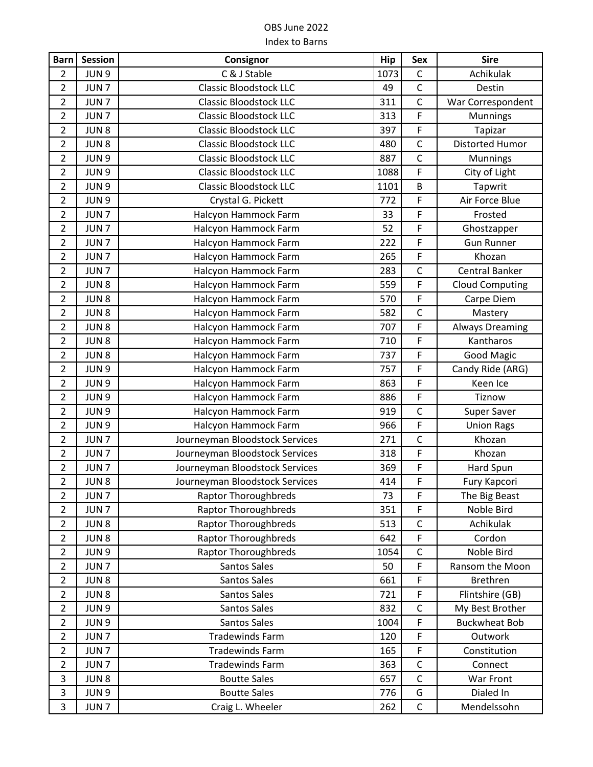| <b>Barn</b>    | <b>Session</b>   | Consignor                      | Hip  | Sex          | <b>Sire</b>            |
|----------------|------------------|--------------------------------|------|--------------|------------------------|
| $\overline{2}$ | JUN 9            | C & J Stable                   | 1073 | $\mathsf C$  | Achikulak              |
| $\overline{2}$ | JUN <sub>7</sub> | <b>Classic Bloodstock LLC</b>  | 49   | $\mathsf C$  | Destin                 |
| $\overline{2}$ | JUN <sub>7</sub> | <b>Classic Bloodstock LLC</b>  | 311  | $\mathsf{C}$ | War Correspondent      |
| $\overline{2}$ | JUN <sub>7</sub> | <b>Classic Bloodstock LLC</b>  | 313  | F            | <b>Munnings</b>        |
| $\overline{2}$ | JUN <sub>8</sub> | <b>Classic Bloodstock LLC</b>  | 397  | F            | Tapizar                |
| $\overline{2}$ | JUN <sub>8</sub> | <b>Classic Bloodstock LLC</b>  | 480  | $\mathsf{C}$ | <b>Distorted Humor</b> |
| $\overline{2}$ | JUN 9            | <b>Classic Bloodstock LLC</b>  | 887  | $\mathsf C$  | Munnings               |
| $\overline{2}$ | JUN 9            | <b>Classic Bloodstock LLC</b>  | 1088 | F            | City of Light          |
| $\overline{2}$ | JUN <sub>9</sub> | <b>Classic Bloodstock LLC</b>  | 1101 | B            | Tapwrit                |
| $\overline{2}$ | JUN <sub>9</sub> | Crystal G. Pickett             | 772  | F            | Air Force Blue         |
| $\overline{2}$ | JUN <sub>7</sub> | Halcyon Hammock Farm           | 33   | F            | Frosted                |
| $\overline{2}$ | JUN <sub>7</sub> | Halcyon Hammock Farm           | 52   | $\mathsf F$  | Ghostzapper            |
| $\overline{2}$ | JUN <sub>7</sub> | Halcyon Hammock Farm           | 222  | F            | <b>Gun Runner</b>      |
| $\overline{2}$ | JUN <sub>7</sub> | Halcyon Hammock Farm           | 265  | F            | Khozan                 |
| $\overline{2}$ | JUN <sub>7</sub> | Halcyon Hammock Farm           | 283  | $\mathsf{C}$ | Central Banker         |
| $\overline{2}$ | JUN <sub>8</sub> | Halcyon Hammock Farm           | 559  | F            | <b>Cloud Computing</b> |
| $\overline{2}$ | JUN <sub>8</sub> | Halcyon Hammock Farm           | 570  | F            | Carpe Diem             |
| $\overline{2}$ | JUN <sub>8</sub> | Halcyon Hammock Farm           | 582  | $\mathsf{C}$ | Mastery                |
| $\overline{2}$ | JUN <sub>8</sub> | Halcyon Hammock Farm           | 707  | F            | <b>Always Dreaming</b> |
| $\overline{2}$ | JUN <sub>8</sub> | Halcyon Hammock Farm           | 710  | F            | Kantharos              |
| $\overline{2}$ | JUN <sub>8</sub> | Halcyon Hammock Farm           | 737  | F            | <b>Good Magic</b>      |
| $\overline{2}$ | JUN <sub>9</sub> | Halcyon Hammock Farm           | 757  | F            | Candy Ride (ARG)       |
| $\overline{2}$ | JUN <sub>9</sub> | Halcyon Hammock Farm           | 863  | F            | Keen Ice               |
| $\overline{2}$ | JUN 9            | Halcyon Hammock Farm           | 886  | F            | Tiznow                 |
| $\overline{2}$ | JUN 9            | Halcyon Hammock Farm           | 919  | $\mathsf{C}$ | Super Saver            |
| $\overline{2}$ | JUN 9            | Halcyon Hammock Farm           | 966  | F            | <b>Union Rags</b>      |
| $\overline{2}$ | JUN <sub>7</sub> | Journeyman Bloodstock Services | 271  | $\mathsf{C}$ | Khozan                 |
| $\overline{2}$ | JUN <sub>7</sub> | Journeyman Bloodstock Services | 318  | F            | Khozan                 |
| $\overline{2}$ | JUN <sub>7</sub> | Journeyman Bloodstock Services | 369  | F            | Hard Spun              |
| $\overline{2}$ | JUN <sub>8</sub> | Journeyman Bloodstock Services | 414  | F            | Fury Kapcori           |
| $\overline{2}$ | JUN <sub>7</sub> | <b>Raptor Thoroughbreds</b>    | 73   | F            | The Big Beast          |
| $\overline{2}$ | JUN <sub>7</sub> | <b>Raptor Thoroughbreds</b>    | 351  | F            | Noble Bird             |
| $\overline{2}$ | JUN <sub>8</sub> | <b>Raptor Thoroughbreds</b>    | 513  | $\mathsf C$  | Achikulak              |
| $\overline{2}$ | JUN <sub>8</sub> | Raptor Thoroughbreds           | 642  | F            | Cordon                 |
| $\overline{2}$ | JUN 9            | <b>Raptor Thoroughbreds</b>    | 1054 | $\mathsf{C}$ | Noble Bird             |
| $\overline{2}$ | JUN <sub>7</sub> | Santos Sales                   | 50   | F            | Ransom the Moon        |
| $\overline{2}$ | JUN <sub>8</sub> | Santos Sales                   | 661  | F            | Brethren               |
| $\overline{2}$ | JUN <sub>8</sub> | Santos Sales                   | 721  | F            | Flintshire (GB)        |
| $\overline{2}$ | JUN 9            | Santos Sales                   | 832  | $\mathsf C$  | My Best Brother        |
| $\overline{2}$ | JUN 9            | Santos Sales                   | 1004 | F            | <b>Buckwheat Bob</b>   |
| $\overline{2}$ | JUN <sub>7</sub> | <b>Tradewinds Farm</b>         | 120  | F            | Outwork                |
| $\overline{2}$ | JUN <sub>7</sub> | <b>Tradewinds Farm</b>         | 165  | F            | Constitution           |
| $\overline{2}$ | JUN <sub>7</sub> | <b>Tradewinds Farm</b>         | 363  | $\mathsf C$  | Connect                |
| 3              | JUN <sub>8</sub> | <b>Boutte Sales</b>            | 657  | $\mathsf{C}$ | War Front              |
| 3              | JUN 9            | <b>Boutte Sales</b>            | 776  | G            | Dialed In              |
| 3              | JUN <sub>7</sub> | Craig L. Wheeler               | 262  | $\mathsf C$  | Mendelssohn            |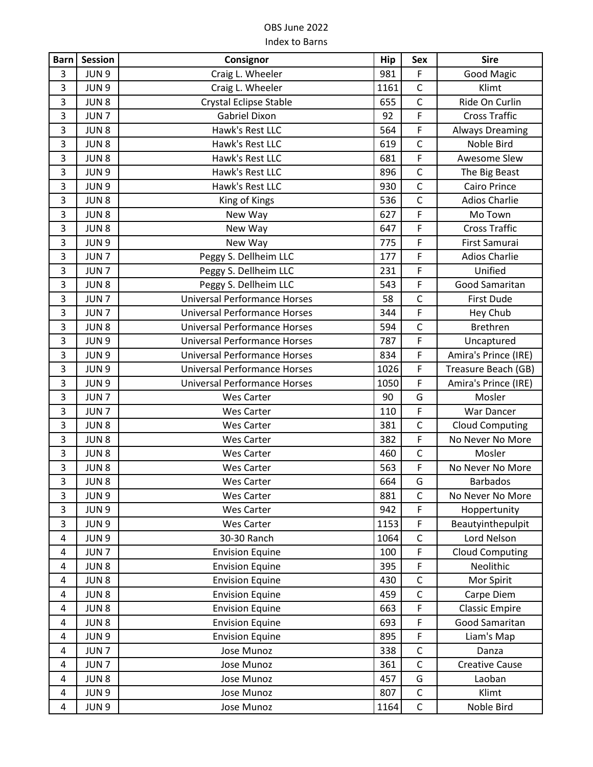| <b>Barn</b>             | <b>Session</b>   | Consignor                           | Hip  | <b>Sex</b>     | <b>Sire</b>            |
|-------------------------|------------------|-------------------------------------|------|----------------|------------------------|
| 3                       | JUN <sub>9</sub> | Craig L. Wheeler                    | 981  | F              | <b>Good Magic</b>      |
| 3                       | JUN <sub>9</sub> | Craig L. Wheeler                    | 1161 | $\mathsf{C}$   | Klimt                  |
| 3                       | JUN <sub>8</sub> | Crystal Eclipse Stable              | 655  | $\mathsf C$    | Ride On Curlin         |
| 3                       | JUN <sub>7</sub> | <b>Gabriel Dixon</b>                | 92   | F              | <b>Cross Traffic</b>   |
| $\mathsf 3$             | JUN <sub>8</sub> | Hawk's Rest LLC                     | 564  | F              | <b>Always Dreaming</b> |
| 3                       | JUN <sub>8</sub> | Hawk's Rest LLC                     | 619  | $\mathsf{C}$   | Noble Bird             |
| 3                       | JUN <sub>8</sub> | Hawk's Rest LLC                     | 681  | F              | Awesome Slew           |
| $\overline{\mathbf{3}}$ | JUN <sub>9</sub> | Hawk's Rest LLC                     | 896  | $\mathsf{C}$   | The Big Beast          |
| 3                       | JUN <sub>9</sub> | Hawk's Rest LLC                     | 930  | $\mathsf{C}$   | <b>Cairo Prince</b>    |
| $\overline{\mathbf{3}}$ | JUN <sub>8</sub> | King of Kings                       | 536  | $\mathsf C$    | <b>Adios Charlie</b>   |
| 3                       | JUN <sub>8</sub> | New Way                             | 627  | $\overline{F}$ | Mo Town                |
| 3                       | JUN <sub>8</sub> | New Way                             | 647  | F              | <b>Cross Traffic</b>   |
| 3                       | JUN 9            | New Way                             | 775  | F              | First Samurai          |
| 3                       | JUN <sub>7</sub> | Peggy S. Dellheim LLC               | 177  | F              | <b>Adios Charlie</b>   |
| 3                       | JUN <sub>7</sub> | Peggy S. Dellheim LLC               | 231  | F              | Unified                |
| 3                       | JUN <sub>8</sub> | Peggy S. Dellheim LLC               | 543  | F              | Good Samaritan         |
| $\overline{\mathbf{3}}$ | JUN <sub>7</sub> | <b>Universal Performance Horses</b> | 58   | $\mathsf C$    | First Dude             |
| 3                       | JUN <sub>7</sub> | <b>Universal Performance Horses</b> | 344  | F              | Hey Chub               |
| $\mathsf 3$             | JUN <sub>8</sub> | <b>Universal Performance Horses</b> | 594  | $\mathsf{C}$   | Brethren               |
| $\overline{\mathbf{3}}$ | JUN <sub>9</sub> | <b>Universal Performance Horses</b> | 787  | F              | Uncaptured             |
| 3                       | JUN 9            | <b>Universal Performance Horses</b> | 834  | F              | Amira's Prince (IRE)   |
| $\overline{\mathbf{3}}$ | JUN <sub>9</sub> | <b>Universal Performance Horses</b> | 1026 | F              | Treasure Beach (GB)    |
| 3                       | JUN 9            | <b>Universal Performance Horses</b> | 1050 | F              | Amira's Prince (IRE)   |
| $\overline{\mathbf{3}}$ | JUN <sub>7</sub> | <b>Wes Carter</b>                   | 90   | G              | Mosler                 |
| 3                       | JUN <sub>7</sub> | <b>Wes Carter</b>                   | 110  | F              | War Dancer             |
| $\mathsf 3$             | JUN <sub>8</sub> | <b>Wes Carter</b>                   | 381  | $\mathsf C$    | <b>Cloud Computing</b> |
| $\overline{\mathbf{3}}$ | JUN <sub>8</sub> | <b>Wes Carter</b>                   | 382  | F              | No Never No More       |
| 3                       | JUN8             | <b>Wes Carter</b>                   | 460  | $\mathsf{C}$   | Mosler                 |
| 3                       | JUN <sub>8</sub> | <b>Wes Carter</b>                   | 563  | F              | No Never No More       |
| $\overline{\mathbf{3}}$ | JUN <sub>8</sub> | <b>Wes Carter</b>                   | 664  | G              | <b>Barbados</b>        |
| 3                       | JUN <sub>9</sub> | <b>Wes Carter</b>                   | 881  | С              | No Never No More       |
| 3                       | JUN 9            | <b>Wes Carter</b>                   | 942  | F              | Hoppertunity           |
| 3                       | JUN 9            | <b>Wes Carter</b>                   | 1153 | F.             | Beautyinthepulpit      |
| 4                       | JUN <sub>9</sub> | 30-30 Ranch                         | 1064 | C              | Lord Nelson            |
| 4                       | JUN <sub>7</sub> | <b>Envision Equine</b>              | 100  | F              | <b>Cloud Computing</b> |
| 4                       | JUN <sub>8</sub> | <b>Envision Equine</b>              | 395  | F              | Neolithic              |
| 4                       | JUN <sub>8</sub> | <b>Envision Equine</b>              | 430  | $\mathsf C$    | Mor Spirit             |
| 4                       | JUN <sub>8</sub> | <b>Envision Equine</b>              | 459  | $\mathsf C$    | Carpe Diem             |
| 4                       | JUN <sub>8</sub> | <b>Envision Equine</b>              | 663  | F              | <b>Classic Empire</b>  |
| 4                       | JUN <sub>8</sub> | <b>Envision Equine</b>              | 693  | F              | Good Samaritan         |
| 4                       | JUN <sub>9</sub> | <b>Envision Equine</b>              | 895  | F              | Liam's Map             |
| $\overline{4}$          | JUN <sub>7</sub> | Jose Munoz                          | 338  | $\mathsf{C}$   | Danza                  |
| 4                       | JUN <sub>7</sub> | Jose Munoz                          | 361  | $\mathsf C$    | <b>Creative Cause</b>  |
| 4                       | JUN <sub>8</sub> | Jose Munoz                          | 457  | G              | Laoban                 |
| 4                       | JUN 9            | Jose Munoz                          | 807  | $\mathsf C$    | Klimt                  |
| 4                       | JUN 9            | Jose Munoz                          | 1164 | $\mathsf C$    | Noble Bird             |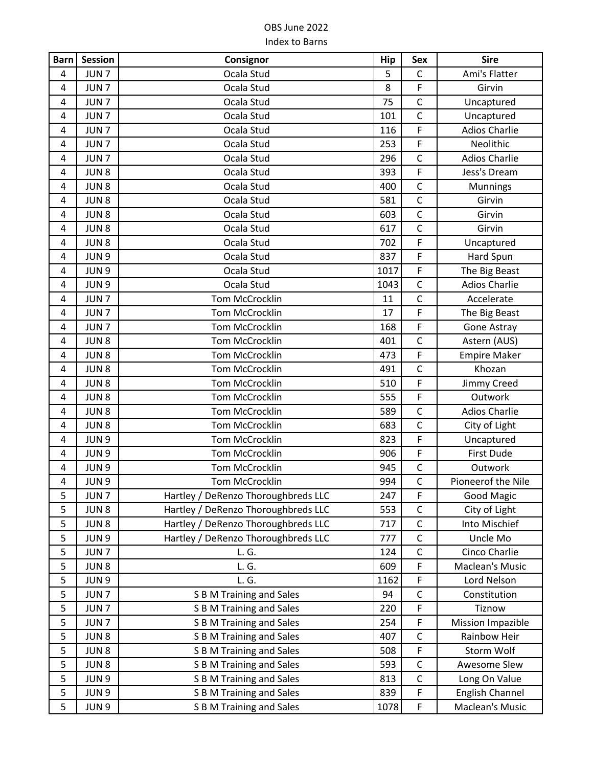| <b>Barn</b>             | <b>Session</b>   | Consignor                           | Hip  | <b>Sex</b>   | <b>Sire</b>              |
|-------------------------|------------------|-------------------------------------|------|--------------|--------------------------|
| 4                       | JUN <sub>7</sub> | Ocala Stud                          | 5    | $\mathsf{C}$ | Ami's Flatter            |
| 4                       | JUN <sub>7</sub> | Ocala Stud                          | 8    | F            | Girvin                   |
| 4                       | JUN <sub>7</sub> | Ocala Stud                          | 75   | $\mathsf C$  | Uncaptured               |
| 4                       | JUN <sub>7</sub> | Ocala Stud                          | 101  | $\mathsf{C}$ | Uncaptured               |
| 4                       | JUN <sub>7</sub> | Ocala Stud                          | 116  | F            | <b>Adios Charlie</b>     |
| 4                       | JUN <sub>7</sub> | Ocala Stud                          | 253  | F            | Neolithic                |
| 4                       | JUN <sub>7</sub> | Ocala Stud                          | 296  | $\mathsf{C}$ | <b>Adios Charlie</b>     |
| 4                       | JUN <sub>8</sub> | Ocala Stud                          | 393  | F            | Jess's Dream             |
| 4                       | JUN <sub>8</sub> | Ocala Stud                          | 400  | $\mathsf{C}$ | <b>Munnings</b>          |
| 4                       | JUN <sub>8</sub> | Ocala Stud                          | 581  | $\mathsf{C}$ | Girvin                   |
| 4                       | JUN <sub>8</sub> | Ocala Stud                          | 603  | $\mathsf C$  | Girvin                   |
| 4                       | JUN <sub>8</sub> | Ocala Stud                          | 617  | $\mathsf C$  | Girvin                   |
| 4                       | JUN <sub>8</sub> | Ocala Stud                          | 702  | F            | Uncaptured               |
| 4                       | JUN <sub>9</sub> | Ocala Stud                          | 837  | F            | Hard Spun                |
| 4                       | JUN <sub>9</sub> | Ocala Stud                          | 1017 | F            | The Big Beast            |
| 4                       | JUN 9            | Ocala Stud                          | 1043 | $\mathsf C$  | <b>Adios Charlie</b>     |
| 4                       | JUN <sub>7</sub> | Tom McCrocklin                      | 11   | $\mathsf C$  | Accelerate               |
| $\overline{\mathbf{4}}$ | JUN <sub>7</sub> | Tom McCrocklin                      | 17   | F            | The Big Beast            |
| 4                       | JUN <sub>7</sub> | Tom McCrocklin                      | 168  | F            | Gone Astray              |
| 4                       | JUN <sub>8</sub> | Tom McCrocklin                      | 401  | $\mathsf{C}$ | Astern (AUS)             |
| 4                       | JUN <sub>8</sub> | Tom McCrocklin                      | 473  | F            | <b>Empire Maker</b>      |
| 4                       | JUN <sub>8</sub> | Tom McCrocklin                      | 491  | $\mathsf C$  | Khozan                   |
| 4                       | JUN <sub>8</sub> | Tom McCrocklin                      | 510  | F            | Jimmy Creed              |
| 4                       | JUN <sub>8</sub> | Tom McCrocklin                      | 555  | F            | Outwork                  |
| 4                       | JUN <sub>8</sub> | Tom McCrocklin                      | 589  | $\mathsf{C}$ | <b>Adios Charlie</b>     |
| 4                       | JUN <sub>8</sub> | Tom McCrocklin                      | 683  | $\mathsf{C}$ | City of Light            |
| 4                       | JUN <sub>9</sub> | Tom McCrocklin                      | 823  | F            | Uncaptured               |
| 4                       | JUN <sub>9</sub> | <b>Tom McCrocklin</b>               | 906  | F            | First Dude               |
| 4                       | JUN <sub>9</sub> | Tom McCrocklin                      | 945  | $\mathsf C$  | Outwork                  |
| 4                       | JUN <sub>9</sub> | Tom McCrocklin                      | 994  | $\mathsf C$  | Pioneerof the Nile       |
| 5                       | JUN <sub>7</sub> | Hartley / DeRenzo Thoroughbreds LLC | 247  | F            | <b>Good Magic</b>        |
| 5                       | JUN <sub>8</sub> | Hartley / DeRenzo Thoroughbreds LLC | 553  | $\mathsf C$  | City of Light            |
| 5                       | JUN <sub>8</sub> | Hartley / DeRenzo Thoroughbreds LLC | 717  | $\mathsf C$  | Into Mischief            |
| 5                       | JUN <sub>9</sub> | Hartley / DeRenzo Thoroughbreds LLC | 777  | C            | Uncle Mo                 |
| 5                       | JUN <sub>7</sub> | L.G.                                | 124  | $\mathsf{C}$ | Cinco Charlie            |
| 5                       | JUN <sub>8</sub> | L. G.                               | 609  | F            | Maclean's Music          |
| 5                       | JUN 9            | L. G.                               | 1162 | F            | Lord Nelson              |
| 5                       | JUN <sub>7</sub> | <b>S B M Training and Sales</b>     | 94   | $\mathsf C$  | Constitution             |
| 5                       | JUN <sub>7</sub> | <b>S B M Training and Sales</b>     | 220  | F            | Tiznow                   |
| 5                       | JUN <sub>7</sub> | <b>S B M Training and Sales</b>     | 254  | F            | <b>Mission Impazible</b> |
| 5                       | JUN <sub>8</sub> | <b>S B M Training and Sales</b>     | 407  | $\mathsf C$  | Rainbow Heir             |
| 5                       | JUN <sub>8</sub> | <b>S B M Training and Sales</b>     | 508  | F            | Storm Wolf               |
| 5                       | JUN <sub>8</sub> | <b>S B M Training and Sales</b>     | 593  | $\mathsf C$  | Awesome Slew             |
| 5                       | JUN <sub>9</sub> | <b>S B M Training and Sales</b>     | 813  | $\mathsf C$  | Long On Value            |
| 5                       | JUN <sub>9</sub> | <b>S B M Training and Sales</b>     | 839  | F            | English Channel          |
| 5                       | JUN <sub>9</sub> | S B M Training and Sales            | 1078 | F            | Maclean's Music          |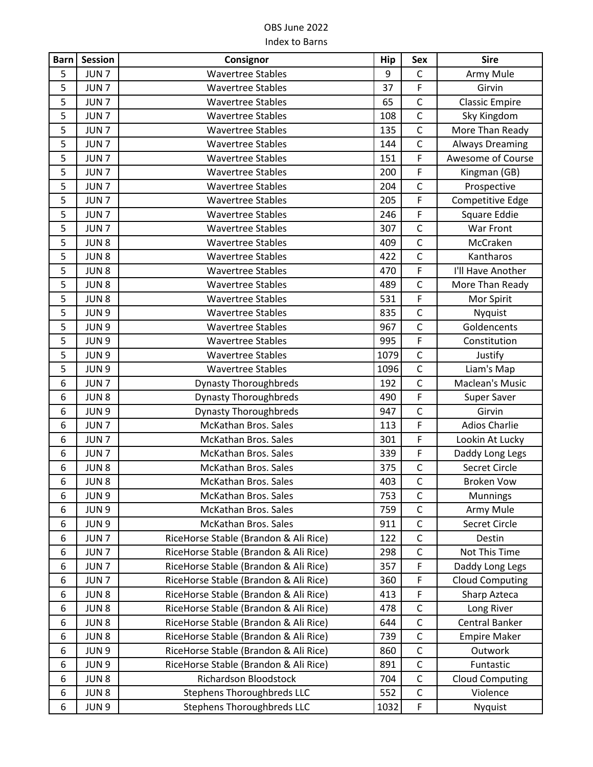| <b>Barn</b> | <b>Session</b>   | Consignor                             | Hip  | Sex            | <b>Sire</b>            |
|-------------|------------------|---------------------------------------|------|----------------|------------------------|
| 5           | JUN <sub>7</sub> | <b>Wavertree Stables</b>              | 9    | $\mathsf C$    | Army Mule              |
| 5           | JUN <sub>7</sub> | <b>Wavertree Stables</b>              | 37   | F              | Girvin                 |
| 5           | JUN <sub>7</sub> | <b>Wavertree Stables</b>              | 65   | $\mathsf C$    | <b>Classic Empire</b>  |
| 5           | JUN <sub>7</sub> | <b>Wavertree Stables</b>              | 108  | $\mathsf C$    | Sky Kingdom            |
| 5           | JUN <sub>7</sub> | <b>Wavertree Stables</b>              | 135  | $\mathsf C$    | More Than Ready        |
| 5           | JUN <sub>7</sub> | <b>Wavertree Stables</b>              | 144  | $\mathsf{C}$   | <b>Always Dreaming</b> |
| 5           | JUN <sub>7</sub> | <b>Wavertree Stables</b>              | 151  | F              | Awesome of Course      |
| 5           | JUN <sub>7</sub> | <b>Wavertree Stables</b>              | 200  | F              | Kingman (GB)           |
| 5           | JUN <sub>7</sub> | <b>Wavertree Stables</b>              | 204  | $\mathsf{C}$   | Prospective            |
| 5           | JUN <sub>7</sub> | <b>Wavertree Stables</b>              | 205  | F              | Competitive Edge       |
| 5           | JUN <sub>7</sub> | <b>Wavertree Stables</b>              | 246  | F              | Square Eddie           |
| 5           | JUN <sub>7</sub> | <b>Wavertree Stables</b>              | 307  | $\mathsf C$    | War Front              |
| 5           | JUN <sub>8</sub> | <b>Wavertree Stables</b>              | 409  | $\mathsf{C}$   | McCraken               |
| 5           | JUN <sub>8</sub> | <b>Wavertree Stables</b>              | 422  | $\mathsf C$    | Kantharos              |
| 5           | JUN <sub>8</sub> | <b>Wavertree Stables</b>              | 470  | F              | I'll Have Another      |
| 5           | JUN <sub>8</sub> | <b>Wavertree Stables</b>              | 489  | $\mathsf{C}$   | More Than Ready        |
| 5           | JUN <sub>8</sub> | <b>Wavertree Stables</b>              | 531  | F              | Mor Spirit             |
| 5           | JUN <sub>9</sub> | <b>Wavertree Stables</b>              | 835  | $\mathsf C$    | <b>Nyquist</b>         |
| 5           | JUN 9            | <b>Wavertree Stables</b>              | 967  | $\overline{C}$ | Goldencents            |
| 5           | JUN 9            | <b>Wavertree Stables</b>              | 995  | F              | Constitution           |
| 5           | JUN 9            | <b>Wavertree Stables</b>              | 1079 | $\mathsf C$    | Justify                |
| 5           | JUN 9            | <b>Wavertree Stables</b>              | 1096 | $\mathsf{C}$   | Liam's Map             |
| 6           | JUN <sub>7</sub> | <b>Dynasty Thoroughbreds</b>          | 192  | $\mathsf{C}$   | Maclean's Music        |
| 6           | JUN <sub>8</sub> | <b>Dynasty Thoroughbreds</b>          | 490  | F              | Super Saver            |
| 6           | JUN 9            | <b>Dynasty Thoroughbreds</b>          | 947  | $\mathsf C$    | Girvin                 |
| 6           | JUN <sub>7</sub> | McKathan Bros. Sales                  | 113  | F              | <b>Adios Charlie</b>   |
| 6           | JUN <sub>7</sub> | McKathan Bros. Sales                  | 301  | F              | Lookin At Lucky        |
| 6           | JUN <sub>7</sub> | <b>McKathan Bros. Sales</b>           | 339  | F              | Daddy Long Legs        |
| 6           | JUN <sub>8</sub> | McKathan Bros. Sales                  | 375  | $\mathsf C$    | Secret Circle          |
| 6           | JUN <sub>8</sub> | McKathan Bros. Sales                  | 403  | $\mathsf C$    | <b>Broken Vow</b>      |
| 6           | JUN <sub>9</sub> | McKathan Bros. Sales                  | 753  | C              | <b>Munnings</b>        |
| 6           | JUN 9            | <b>McKathan Bros. Sales</b>           | 759  | $\mathsf{C}$   | Army Mule              |
| 6           | JUN 9            | McKathan Bros. Sales                  | 911  | $\mathsf C$    | Secret Circle          |
| 6           | JUN <sub>7</sub> | RiceHorse Stable (Brandon & Ali Rice) | 122  | $\mathsf C$    | Destin                 |
| 6           | JUN <sub>7</sub> | RiceHorse Stable (Brandon & Ali Rice) | 298  | $\mathsf{C}$   | Not This Time          |
| 6           | JUN <sub>7</sub> | RiceHorse Stable (Brandon & Ali Rice) | 357  | F              | Daddy Long Legs        |
| 6           | JUN <sub>7</sub> | RiceHorse Stable (Brandon & Ali Rice) | 360  | F              | <b>Cloud Computing</b> |
| 6           | JUN <sub>8</sub> | RiceHorse Stable (Brandon & Ali Rice) | 413  | F              | Sharp Azteca           |
| 6           | JUN <sub>8</sub> | RiceHorse Stable (Brandon & Ali Rice) | 478  | $\mathsf C$    | Long River             |
| 6           | JUN <sub>8</sub> | RiceHorse Stable (Brandon & Ali Rice) | 644  | $\mathsf C$    | Central Banker         |
| 6           | JUN <sub>8</sub> | RiceHorse Stable (Brandon & Ali Rice) | 739  | $\mathsf C$    | <b>Empire Maker</b>    |
| 6           | JUN 9            | RiceHorse Stable (Brandon & Ali Rice) | 860  | $\mathsf C$    | Outwork                |
| 6           | JUN <sub>9</sub> | RiceHorse Stable (Brandon & Ali Rice) | 891  | C              | Funtastic              |
| 6           | JUN <sub>8</sub> | Richardson Bloodstock                 | 704  | $\mathsf{C}$   | <b>Cloud Computing</b> |
| 6           | JUN <sub>8</sub> | <b>Stephens Thoroughbreds LLC</b>     | 552  | $\mathsf C$    | Violence               |
| 6           | JUN 9            | <b>Stephens Thoroughbreds LLC</b>     | 1032 | $\mathsf F$    | Nyquist                |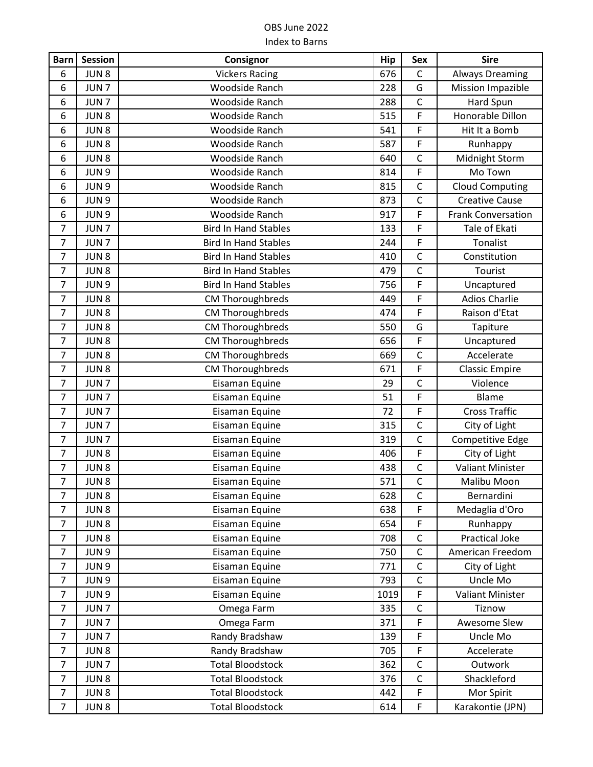| <b>Barn</b>    | <b>Session</b>   | Consignor                   | <b>Hip</b> | Sex            | <b>Sire</b>               |
|----------------|------------------|-----------------------------|------------|----------------|---------------------------|
| 6              | JUN <sub>8</sub> | <b>Vickers Racing</b>       | 676        | $\mathsf{C}$   | <b>Always Dreaming</b>    |
| 6              | JUN <sub>7</sub> | Woodside Ranch              | 228        | G              | Mission Impazible         |
| 6              | JUN <sub>7</sub> | <b>Woodside Ranch</b>       | 288        | $\mathsf C$    | Hard Spun                 |
| 6              | JUN <sub>8</sub> | Woodside Ranch              | 515        | F              | Honorable Dillon          |
| 6              | JUN <sub>8</sub> | Woodside Ranch              | 541        | F              | Hit It a Bomb             |
| 6              | JUN <sub>8</sub> | Woodside Ranch              | 587        | F              | Runhappy                  |
| 6              | JUN <sub>8</sub> | Woodside Ranch              | 640        | $\mathsf{C}$   | Midnight Storm            |
| 6              | JUN 9            | Woodside Ranch              | 814        | F              | Mo Town                   |
| 6              | JUN <sub>9</sub> | Woodside Ranch              | 815        | $\mathsf{C}$   | <b>Cloud Computing</b>    |
| 6              | JUN <sub>9</sub> | Woodside Ranch              | 873        | $\mathsf C$    | <b>Creative Cause</b>     |
| 6              | JUN 9            | Woodside Ranch              | 917        | $\overline{F}$ | <b>Frank Conversation</b> |
| $\overline{7}$ | JUN <sub>7</sub> | <b>Bird In Hand Stables</b> | 133        | F              | Tale of Ekati             |
| $\overline{7}$ | JUN <sub>7</sub> | <b>Bird In Hand Stables</b> | 244        | F              | Tonalist                  |
| $\overline{7}$ | JUN <sub>8</sub> | <b>Bird In Hand Stables</b> | 410        | $\mathsf{C}$   | Constitution              |
| $\overline{7}$ | JUN <sub>8</sub> | <b>Bird In Hand Stables</b> | 479        | $\mathsf{C}$   | Tourist                   |
| $\overline{7}$ | JUN 9            | <b>Bird In Hand Stables</b> | 756        | F              | Uncaptured                |
| $\overline{7}$ | JUN <sub>8</sub> | CM Thoroughbreds            | 449        | F              | <b>Adios Charlie</b>      |
| $\overline{7}$ | JUN8             | <b>CM Thoroughbreds</b>     | 474        | F              | Raison d'Etat             |
| $\overline{7}$ | JUN <sub>8</sub> | CM Thoroughbreds            | 550        | G              | Tapiture                  |
| $\overline{7}$ | JUN <sub>8</sub> | <b>CM Thoroughbreds</b>     | 656        | F              | Uncaptured                |
| $\overline{7}$ | JUN <sub>8</sub> | <b>CM Thoroughbreds</b>     | 669        | $\mathsf{C}$   | Accelerate                |
| $\overline{7}$ | JUN <sub>8</sub> | <b>CM Thoroughbreds</b>     | 671        | F              | <b>Classic Empire</b>     |
| $\overline{7}$ | JUN <sub>7</sub> | Eisaman Equine              | 29         | $\mathsf{C}$   | Violence                  |
| $\overline{7}$ | JUN <sub>7</sub> | Eisaman Equine              | 51         | F              | Blame                     |
| $\overline{7}$ | JUN <sub>7</sub> | Eisaman Equine              | 72         | F              | <b>Cross Traffic</b>      |
| $\overline{7}$ | JUN <sub>7</sub> | Eisaman Equine              | 315        | $\mathsf{C}$   | City of Light             |
| $\overline{7}$ | JUN <sub>7</sub> | Eisaman Equine              | 319        | $\mathsf{C}$   | Competitive Edge          |
| 7              | JUN <sub>8</sub> | Eisaman Equine              | 406        | F              | City of Light             |
| $\overline{7}$ | JUN <sub>8</sub> | Eisaman Equine              | 438        | $\mathsf C$    | <b>Valiant Minister</b>   |
| $\overline{7}$ | JUN <sub>8</sub> | Eisaman Equine              | 571        | $\overline{C}$ | Malibu Moon               |
| $\overline{7}$ | JUN <sub>8</sub> | Eisaman Equine              | 628        | C              | Bernardini                |
| $\overline{7}$ | JUN <sub>8</sub> | Eisaman Equine              | 638        | F              | Medaglia d'Oro            |
| $\overline{7}$ | JUN <sub>8</sub> | Eisaman Equine              | 654        | F              | Runhappy                  |
| $\overline{7}$ | JUN <sub>8</sub> | Eisaman Equine              | 708        | C              | Practical Joke            |
| $\overline{7}$ | JUN 9            | Eisaman Equine              | 750        | $\mathsf{C}$   | American Freedom          |
| $\overline{7}$ | JUN 9            | Eisaman Equine              | 771        | $\mathsf{C}$   | City of Light             |
| $\overline{7}$ | JUN 9            | Eisaman Equine              | 793        | $\mathsf C$    | Uncle Mo                  |
| $\overline{7}$ | JUN 9            | Eisaman Equine              | 1019       | F              | <b>Valiant Minister</b>   |
| $\overline{7}$ | JUN <sub>7</sub> | Omega Farm                  | 335        | $\mathsf C$    | Tiznow                    |
| $\overline{7}$ | JUN <sub>7</sub> | Omega Farm                  | 371        | F              | Awesome Slew              |
| $\overline{7}$ | JUN <sub>7</sub> | Randy Bradshaw              | 139        | F              | Uncle Mo                  |
| $\overline{7}$ | JUN <sub>8</sub> | Randy Bradshaw              | 705        | F              | Accelerate                |
| $\overline{7}$ | JUN <sub>7</sub> | <b>Total Bloodstock</b>     | 362        | $\mathsf C$    | Outwork                   |
| $\overline{7}$ | JUN <sub>8</sub> | <b>Total Bloodstock</b>     | 376        | $\mathsf C$    | Shackleford               |
| $\overline{7}$ | JUN <sub>8</sub> | <b>Total Bloodstock</b>     | 442        | F              | Mor Spirit                |
| $\overline{7}$ | JUN <sub>8</sub> | <b>Total Bloodstock</b>     | 614        | F              | Karakontie (JPN)          |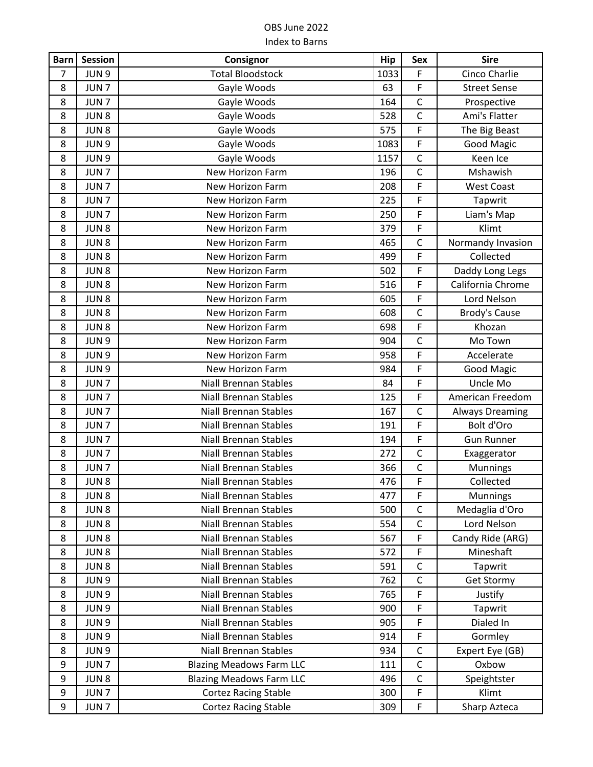| <b>Barn</b>    | <b>Session</b>   | Consignor                       | <b>Hip</b> | <b>Sex</b>     | <b>Sire</b>            |
|----------------|------------------|---------------------------------|------------|----------------|------------------------|
| $\overline{7}$ | JUN <sub>9</sub> | <b>Total Bloodstock</b>         | 1033       | F              | Cinco Charlie          |
| 8              | JUN <sub>7</sub> | Gayle Woods                     | 63         | F              | <b>Street Sense</b>    |
| 8              | JUN <sub>7</sub> | Gayle Woods                     | 164        | $\mathsf C$    | Prospective            |
| 8              | JUN <sub>8</sub> | Gayle Woods                     | 528        | $\mathsf{C}$   | Ami's Flatter          |
| 8              | JUN <sub>8</sub> | Gayle Woods                     | 575        | F              | The Big Beast          |
| 8              | JUN 9            | Gayle Woods                     | 1083       | F              | Good Magic             |
| 8              | JUN 9            | Gayle Woods                     | 1157       | $\mathsf{C}$   | Keen Ice               |
| 8              | JUN <sub>7</sub> | New Horizon Farm                | 196        | $\mathsf C$    | Mshawish               |
| 8              | JUN <sub>7</sub> | <b>New Horizon Farm</b>         | 208        | F              | <b>West Coast</b>      |
| 8              | JUN <sub>7</sub> | New Horizon Farm                | 225        | F              | Tapwrit                |
| 8              | JUN <sub>7</sub> | New Horizon Farm                | 250        | F              | Liam's Map             |
| 8              | JUN <sub>8</sub> | New Horizon Farm                | 379        | F              | Klimt                  |
| 8              | JUN <sub>8</sub> | New Horizon Farm                | 465        | $\mathsf C$    | Normandy Invasion      |
| 8              | JUN <sub>8</sub> | New Horizon Farm                | 499        | F              | Collected              |
| 8              | JUN <sub>8</sub> | New Horizon Farm                | 502        | F              | Daddy Long Legs        |
| 8              | JUN <sub>8</sub> | New Horizon Farm                | 516        | F              | California Chrome      |
| 8              | JUN <sub>8</sub> | New Horizon Farm                | 605        | F              | Lord Nelson            |
| 8              | JUN <sub>8</sub> | New Horizon Farm                | 608        | $\mathsf C$    | Brody's Cause          |
| 8              | JUN <sub>8</sub> | <b>New Horizon Farm</b>         | 698        | F              | Khozan                 |
| 8              | JUN <sub>9</sub> | New Horizon Farm                | 904        | $\mathsf{C}$   | Mo Town                |
| 8              | JUN <sub>9</sub> | New Horizon Farm                | 958        | F              | Accelerate             |
| 8              | JUN 9            | New Horizon Farm                | 984        | F              | <b>Good Magic</b>      |
| 8              | JUN <sub>7</sub> | <b>Niall Brennan Stables</b>    | 84         | F              | Uncle Mo               |
| 8              | JUN <sub>7</sub> | <b>Niall Brennan Stables</b>    | 125        | F              | American Freedom       |
| 8              | JUN <sub>7</sub> | <b>Niall Brennan Stables</b>    | 167        | $\mathsf C$    | <b>Always Dreaming</b> |
| 8              | JUN <sub>7</sub> | <b>Niall Brennan Stables</b>    | 191        | F              | Bolt d'Oro             |
| 8              | JUN <sub>7</sub> | <b>Niall Brennan Stables</b>    | 194        | F              | <b>Gun Runner</b>      |
| 8              | JUN <sub>7</sub> | <b>Niall Brennan Stables</b>    | 272        | $\mathsf C$    | Exaggerator            |
| 8              | JUN <sub>7</sub> | <b>Niall Brennan Stables</b>    | 366        | $\overline{C}$ | Munnings               |
| 8              | JUN <sub>8</sub> | <b>Niall Brennan Stables</b>    | 476        | F              | Collected              |
| 8              | JUN <sub>8</sub> | <b>Niall Brennan Stables</b>    | 477        | F              | Munnings               |
| 8              | JUN <sub>8</sub> | <b>Niall Brennan Stables</b>    | 500        | $\mathsf C$    | Medaglia d'Oro         |
| 8              | JUN <sub>8</sub> | <b>Niall Brennan Stables</b>    | 554        | $\mathsf C$    | Lord Nelson            |
| 8              | JUN <sub>8</sub> | <b>Niall Brennan Stables</b>    | 567        | F              | Candy Ride (ARG)       |
| 8              | JUN <sub>8</sub> | <b>Niall Brennan Stables</b>    | 572        | F              | Mineshaft              |
| 8              | JUN <sub>8</sub> | <b>Niall Brennan Stables</b>    | 591        | $\mathsf{C}$   | Tapwrit                |
| 8              | JUN 9            | <b>Niall Brennan Stables</b>    | 762        | $\mathsf C$    | <b>Get Stormy</b>      |
| 8              | JUN 9            | <b>Niall Brennan Stables</b>    | 765        | F              | Justify                |
| 8              | JUN <sub>9</sub> | <b>Niall Brennan Stables</b>    | 900        | F              | Tapwrit                |
| 8              | JUN <sub>9</sub> | <b>Niall Brennan Stables</b>    | 905        | F              | Dialed In              |
| 8              | JUN <sub>9</sub> | <b>Niall Brennan Stables</b>    | 914        | F              | Gormley                |
| 8              | JUN 9            | <b>Niall Brennan Stables</b>    | 934        | $\mathsf{C}$   | Expert Eye (GB)        |
| 9              | JUN <sub>7</sub> | <b>Blazing Meadows Farm LLC</b> | 111        | $\mathsf C$    | Oxbow                  |
| 9              | JUN <sub>8</sub> | <b>Blazing Meadows Farm LLC</b> | 496        | $\mathsf C$    | Speightster            |
| 9              | JUN <sub>7</sub> | <b>Cortez Racing Stable</b>     | 300        | F              | Klimt                  |
| 9              | JUN <sub>7</sub> | <b>Cortez Racing Stable</b>     | 309        | F              | Sharp Azteca           |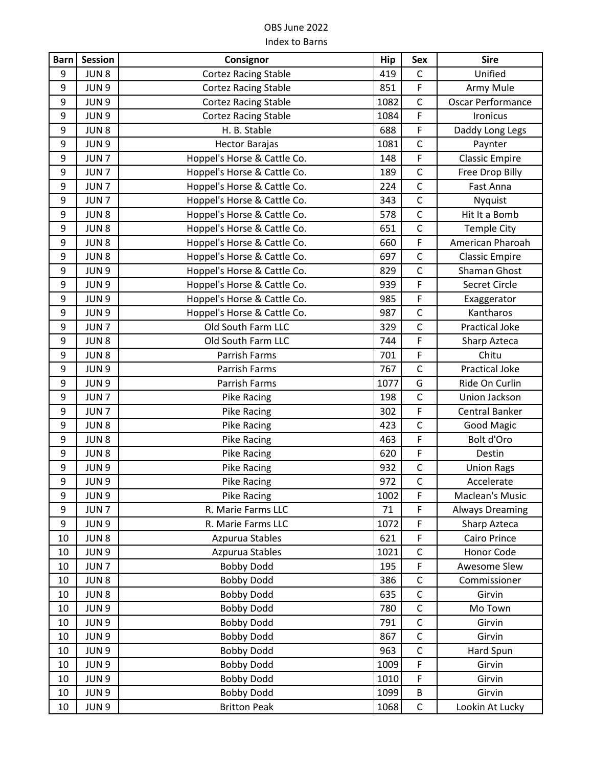| <b>Barn</b>      | <b>Session</b>   | Consignor                   | Hip  | Sex          | <b>Sire</b>              |
|------------------|------------------|-----------------------------|------|--------------|--------------------------|
| 9                | JUN <sub>8</sub> | <b>Cortez Racing Stable</b> | 419  | $\mathsf C$  | Unified                  |
| 9                | JUN 9            | <b>Cortez Racing Stable</b> | 851  | F            | Army Mule                |
| 9                | JUN <sub>9</sub> | <b>Cortez Racing Stable</b> | 1082 | $\mathsf C$  | <b>Oscar Performance</b> |
| 9                | JUN 9            | <b>Cortez Racing Stable</b> | 1084 | F            | <b>Ironicus</b>          |
| 9                | JUN <sub>8</sub> | H. B. Stable                | 688  | F            | Daddy Long Legs          |
| 9                | JUN 9            | <b>Hector Barajas</b>       | 1081 | $\mathsf{C}$ | Paynter                  |
| 9                | JUN <sub>7</sub> | Hoppel's Horse & Cattle Co. | 148  | F            | <b>Classic Empire</b>    |
| 9                | JUN <sub>7</sub> | Hoppel's Horse & Cattle Co. | 189  | $\mathsf{C}$ | Free Drop Billy          |
| 9                | JUN <sub>7</sub> | Hoppel's Horse & Cattle Co. | 224  | $\mathsf{C}$ | Fast Anna                |
| 9                | JUN <sub>7</sub> | Hoppel's Horse & Cattle Co. | 343  | $\mathsf{C}$ | Nyquist                  |
| 9                | JUN8             | Hoppel's Horse & Cattle Co. | 578  | $\mathsf{C}$ | Hit It a Bomb            |
| 9                | JUN <sub>8</sub> | Hoppel's Horse & Cattle Co. | 651  | $\mathsf C$  | <b>Temple City</b>       |
| $\boldsymbol{9}$ | JUN 8            | Hoppel's Horse & Cattle Co. | 660  | F            | American Pharoah         |
| 9                | JUN <sub>8</sub> | Hoppel's Horse & Cattle Co. | 697  | $\mathsf C$  | <b>Classic Empire</b>    |
| 9                | JUN 9            | Hoppel's Horse & Cattle Co. | 829  | $\mathsf{C}$ | Shaman Ghost             |
| 9                | JUN 9            | Hoppel's Horse & Cattle Co. | 939  | F            | Secret Circle            |
| 9                | JUN <sub>9</sub> | Hoppel's Horse & Cattle Co. | 985  | F            | Exaggerator              |
| 9                | JUN <sub>9</sub> | Hoppel's Horse & Cattle Co. | 987  | $\mathsf{C}$ | Kantharos                |
| 9                | JUN <sub>7</sub> | Old South Farm LLC          | 329  | $\mathsf{C}$ | <b>Practical Joke</b>    |
| 9                | JUN8             | Old South Farm LLC          | 744  | F            | Sharp Azteca             |
| 9                | JUN <sub>8</sub> | Parrish Farms               | 701  | F            | Chitu                    |
| 9                | JUN 9            | Parrish Farms               | 767  | $\mathsf{C}$ | Practical Joke           |
| 9                | JUN 9            | Parrish Farms               | 1077 | G            | Ride On Curlin           |
| 9                | JUN <sub>7</sub> | Pike Racing                 | 198  | $\mathsf{C}$ | Union Jackson            |
| 9                | JUN <sub>7</sub> | <b>Pike Racing</b>          | 302  | F            | <b>Central Banker</b>    |
| 9                | JUN <sub>8</sub> | <b>Pike Racing</b>          | 423  | $\mathsf C$  | <b>Good Magic</b>        |
| 9                | JUN <sub>8</sub> | <b>Pike Racing</b>          | 463  | F            | Bolt d'Oro               |
| 9                | JUN <sub>8</sub> | <b>Pike Racing</b>          | 620  | F            | Destin                   |
| 9                | JUN 9            | Pike Racing                 | 932  | $\mathsf C$  | <b>Union Rags</b>        |
| 9                | JUN <sub>9</sub> | <b>Pike Racing</b>          | 972  | $\mathsf{C}$ | Accelerate               |
| 9                | JUN 9            | <b>Pike Racing</b>          | 1002 | F            | Maclean's Music          |
| 9                | JUN <sub>7</sub> | R. Marie Farms LLC          | 71   | F            | <b>Always Dreaming</b>   |
| 9                | JUN 9            | R. Marie Farms LLC          | 1072 | F            | Sharp Azteca             |
| 10               | JUN <sub>8</sub> | Azpurua Stables             | 621  | F            | Cairo Prince             |
| 10               | JUN 9            | Azpurua Stables             | 1021 | $\mathsf{C}$ | Honor Code               |
| 10               | JUN <sub>7</sub> | <b>Bobby Dodd</b>           | 195  | F            | Awesome Slew             |
| 10               | JUN <sub>8</sub> | <b>Bobby Dodd</b>           | 386  | $\mathsf{C}$ | Commissioner             |
| 10               | JUN <sub>8</sub> | <b>Bobby Dodd</b>           | 635  | $\mathsf C$  | Girvin                   |
| 10               | JUN 9            | <b>Bobby Dodd</b>           | 780  | $\mathsf C$  | Mo Town                  |
| 10               | JUN 9            | <b>Bobby Dodd</b>           | 791  | $\mathsf{C}$ | Girvin                   |
| 10               | JUN 9            | <b>Bobby Dodd</b>           | 867  | $\mathsf C$  | Girvin                   |
| 10               | JUN 9            | <b>Bobby Dodd</b>           | 963  | $\mathsf{C}$ | Hard Spun                |
| 10               | JUN <sub>9</sub> | <b>Bobby Dodd</b>           | 1009 | F            | Girvin                   |
| 10               | JUN 9            | <b>Bobby Dodd</b>           | 1010 | F            | Girvin                   |
| 10               | JUN 9            | <b>Bobby Dodd</b>           | 1099 | B            | Girvin                   |
| 10               | JUN 9            | <b>Britton Peak</b>         | 1068 | $\mathsf C$  | Lookin At Lucky          |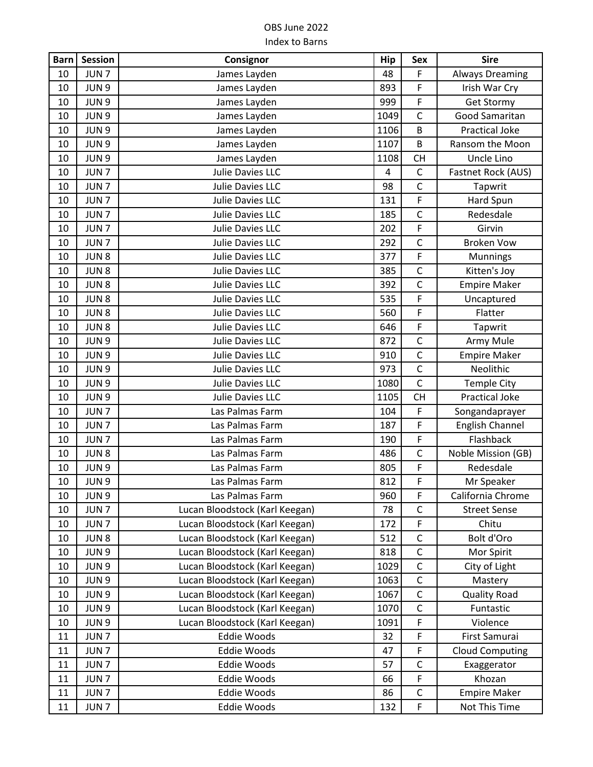| <b>Barn</b> | <b>Session</b>   | Consignor                      | Hip  | Sex            | <b>Sire</b>            |
|-------------|------------------|--------------------------------|------|----------------|------------------------|
| 10          | JUN <sub>7</sub> | James Layden                   | 48   | F              | <b>Always Dreaming</b> |
| 10          | JUN <sub>9</sub> | James Layden                   | 893  | F              | Irish War Cry          |
| 10          | JUN <sub>9</sub> | James Layden                   | 999  | $\mathsf F$    | <b>Get Stormy</b>      |
| 10          | JUN 9            | James Layden                   | 1049 | $\mathsf C$    | Good Samaritan         |
| 10          | JUN <sub>9</sub> | James Layden                   | 1106 | B              | Practical Joke         |
| 10          | JUN 9            | James Layden                   | 1107 | B              | Ransom the Moon        |
| 10          | JUN 9            | James Layden                   | 1108 | <b>CH</b>      | Uncle Lino             |
| 10          | JUN <sub>7</sub> | <b>Julie Davies LLC</b>        | 4    | $\mathsf C$    | Fastnet Rock (AUS)     |
| 10          | JUN <sub>7</sub> | Julie Davies LLC               | 98   | $\mathsf{C}$   | Tapwrit                |
| 10          | JUN <sub>7</sub> | <b>Julie Davies LLC</b>        | 131  | $\mathsf F$    | Hard Spun              |
| 10          | JUN <sub>7</sub> | Julie Davies LLC               | 185  | $\mathsf C$    | Redesdale              |
| 10          | JUN <sub>7</sub> | <b>Julie Davies LLC</b>        | 202  | F              | Girvin                 |
| 10          | JUN <sub>7</sub> | Julie Davies LLC               | 292  | $\mathsf C$    | <b>Broken Vow</b>      |
| 10          | JUN <sub>8</sub> | Julie Davies LLC               | 377  | F              | Munnings               |
| 10          | JUN <sub>8</sub> | Julie Davies LLC               | 385  | $\mathsf C$    | Kitten's Joy           |
| 10          | JUN <sub>8</sub> | Julie Davies LLC               | 392  | $\mathsf{C}$   | <b>Empire Maker</b>    |
| 10          | JUN <sub>8</sub> | <b>Julie Davies LLC</b>        | 535  | F              | Uncaptured             |
| 10          | JUN <sub>8</sub> | <b>Julie Davies LLC</b>        | 560  | F              | Flatter                |
| 10          | JUN <sub>8</sub> | <b>Julie Davies LLC</b>        | 646  | F              | Tapwrit                |
| 10          | JUN 9            | Julie Davies LLC               | 872  | $\mathsf C$    | Army Mule              |
| 10          | JUN 9            | Julie Davies LLC               | 910  | $\mathsf{C}$   | <b>Empire Maker</b>    |
| 10          | JUN <sub>9</sub> | <b>Julie Davies LLC</b>        | 973  | $\mathsf C$    | Neolithic              |
| 10          | JUN <sub>9</sub> | Julie Davies LLC               | 1080 | $\mathsf{C}$   | <b>Temple City</b>     |
| 10          | JUN <sub>9</sub> | <b>Julie Davies LLC</b>        | 1105 | <b>CH</b>      | <b>Practical Joke</b>  |
| 10          | JUN <sub>7</sub> | Las Palmas Farm                | 104  | F              | Songandaprayer         |
| 10          | JUN <sub>7</sub> | Las Palmas Farm                | 187  | F              | <b>English Channel</b> |
| 10          | JUN <sub>7</sub> | Las Palmas Farm                | 190  | $\mathsf F$    | Flashback              |
| 10          | JUN <sub>8</sub> | Las Palmas Farm                | 486  | $\mathsf{C}$   | Noble Mission (GB)     |
| 10          | JUN 9            | Las Palmas Farm                | 805  | F              | Redesdale              |
| 10          | JUN 9            | Las Palmas Farm                | 812  | $\overline{F}$ | Mr Speaker             |
| 10          | JUN <sub>9</sub> | Las Palmas Farm                | 960  | F              | California Chrome      |
| 10          | JUN <sub>7</sub> | Lucan Bloodstock (Karl Keegan) | 78   | $\mathsf C$    | <b>Street Sense</b>    |
| 10          | JUN <sub>7</sub> | Lucan Bloodstock (Karl Keegan) | 172  | $\mathsf F$    | Chitu                  |
| 10          | JUN <sub>8</sub> | Lucan Bloodstock (Karl Keegan) | 512  | $\mathsf C$    | Bolt d'Oro             |
| 10          | JUN <sub>9</sub> | Lucan Bloodstock (Karl Keegan) | 818  | $\mathsf C$    | Mor Spirit             |
| 10          | JUN 9            | Lucan Bloodstock (Karl Keegan) | 1029 | $\mathsf C$    | City of Light          |
| 10          | JUN 9            | Lucan Bloodstock (Karl Keegan) | 1063 | $\mathsf C$    | Mastery                |
| 10          | JUN 9            | Lucan Bloodstock (Karl Keegan) | 1067 | $\mathsf C$    | <b>Quality Road</b>    |
| 10          | JUN 9            | Lucan Bloodstock (Karl Keegan) | 1070 | $\mathsf C$    | Funtastic              |
| 10          | JUN <sub>9</sub> | Lucan Bloodstock (Karl Keegan) | 1091 | F              | Violence               |
| 11          | JUN <sub>7</sub> | <b>Eddie Woods</b>             | 32   | F              | First Samurai          |
| 11          | JUN <sub>7</sub> | Eddie Woods                    | 47   | $\mathsf F$    | <b>Cloud Computing</b> |
| 11          | JUN <sub>7</sub> | Eddie Woods                    | 57   | $\mathsf C$    | Exaggerator            |
| 11          | JUN <sub>7</sub> | Eddie Woods                    | 66   | F              | Khozan                 |
| 11          | JUN <sub>7</sub> | Eddie Woods                    | 86   | $\mathsf C$    | <b>Empire Maker</b>    |
| 11          | JUN <sub>7</sub> | Eddie Woods                    | 132  | F              | Not This Time          |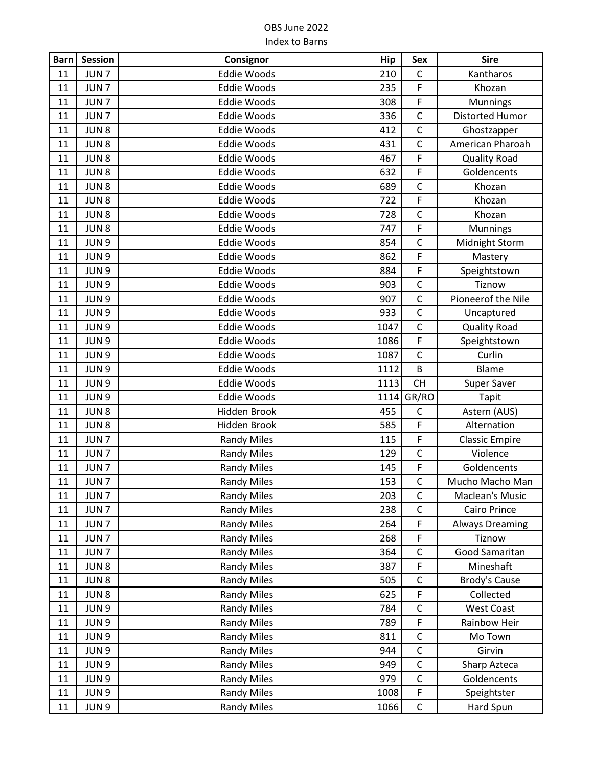| <b>Barn</b> | <b>Session</b>   | Consignor          | Hip  | <b>Sex</b>   | <b>Sire</b>            |
|-------------|------------------|--------------------|------|--------------|------------------------|
| 11          | JUN <sub>7</sub> | <b>Eddie Woods</b> | 210  | $\mathsf C$  | Kantharos              |
| 11          | JUN <sub>7</sub> | <b>Eddie Woods</b> | 235  | F            | Khozan                 |
| 11          | JUN <sub>7</sub> | <b>Eddie Woods</b> | 308  | F            | <b>Munnings</b>        |
| 11          | JUN <sub>7</sub> | <b>Eddie Woods</b> | 336  | $\mathsf C$  | <b>Distorted Humor</b> |
| 11          | JUN <sub>8</sub> | <b>Eddie Woods</b> | 412  | $\mathsf{C}$ | Ghostzapper            |
| 11          | JUN <sub>8</sub> | <b>Eddie Woods</b> | 431  | $\mathsf{C}$ | American Pharoah       |
| 11          | JUN <sub>8</sub> | <b>Eddie Woods</b> | 467  | F            | <b>Quality Road</b>    |
| 11          | JUN <sub>8</sub> | <b>Eddie Woods</b> | 632  | F            | Goldencents            |
| 11          | JUN <sub>8</sub> | <b>Eddie Woods</b> | 689  | $\mathsf{C}$ | Khozan                 |
| 11          | JUN <sub>8</sub> | <b>Eddie Woods</b> | 722  | F            | Khozan                 |
| 11          | JUN <sub>8</sub> | <b>Eddie Woods</b> | 728  | $\mathsf{C}$ | Khozan                 |
| 11          | JUN <sub>8</sub> | <b>Eddie Woods</b> | 747  | F            | Munnings               |
| 11          | JUN <sub>9</sub> | <b>Eddie Woods</b> | 854  | $\mathsf{C}$ | Midnight Storm         |
| 11          | JUN <sub>9</sub> | <b>Eddie Woods</b> | 862  | F            | Mastery                |
| 11          | JUN <sub>9</sub> | <b>Eddie Woods</b> | 884  | F            | Speightstown           |
| 11          | JUN <sub>9</sub> | <b>Eddie Woods</b> | 903  | $\mathsf{C}$ | Tiznow                 |
| 11          | JUN <sub>9</sub> | <b>Eddie Woods</b> | 907  | $\mathsf C$  | Pioneerof the Nile     |
| 11          | JUN <sub>9</sub> | <b>Eddie Woods</b> | 933  | $\mathsf{C}$ | Uncaptured             |
| 11          | JUN <sub>9</sub> | <b>Eddie Woods</b> | 1047 | $\mathsf{C}$ | <b>Quality Road</b>    |
| 11          | JUN <sub>9</sub> | <b>Eddie Woods</b> | 1086 | F            | Speightstown           |
| 11          | JUN <sub>9</sub> | <b>Eddie Woods</b> | 1087 | $\mathsf{C}$ | Curlin                 |
| 11          | JUN <sub>9</sub> | <b>Eddie Woods</b> | 1112 | B            | Blame                  |
| 11          | JUN <sub>9</sub> | <b>Eddie Woods</b> | 1113 | <b>CH</b>    | Super Saver            |
| 11          | JUN <sub>9</sub> | <b>Eddie Woods</b> | 1114 | GR/RO        | Tapit                  |
| 11          | JUN <sub>8</sub> | Hidden Brook       | 455  | $\mathsf{C}$ | Astern (AUS)           |
| 11          | JUN <sub>8</sub> | Hidden Brook       | 585  | F            | Alternation            |
| 11          | JUN <sub>7</sub> | <b>Randy Miles</b> | 115  | F            | <b>Classic Empire</b>  |
| 11          | JUN <sub>7</sub> | <b>Randy Miles</b> | 129  | $\mathsf{C}$ | Violence               |
| 11          | JUN <sub>7</sub> | <b>Randy Miles</b> | 145  | F            | Goldencents            |
| 11          | JUN <sub>7</sub> | <b>Randy Miles</b> | 153  | $\mathsf{C}$ | Mucho Macho Man        |
| 11          | JUN <sub>7</sub> | <b>Randy Miles</b> | 203  | C            | Maclean's Music        |
| 11          | JUN <sub>7</sub> | <b>Randy Miles</b> | 238  | $\mathsf C$  | Cairo Prince           |
| 11          | JUN <sub>7</sub> | <b>Randy Miles</b> | 264  | F            | <b>Always Dreaming</b> |
| 11          | JUN <sub>7</sub> | <b>Randy Miles</b> | 268  | F            | Tiznow                 |
| 11          | JUN <sub>7</sub> | <b>Randy Miles</b> | 364  | $\mathsf{C}$ | Good Samaritan         |
| 11          | JUN <sub>8</sub> | <b>Randy Miles</b> | 387  | F            | Mineshaft              |
| 11          | JUN <sub>8</sub> | <b>Randy Miles</b> | 505  | $\mathsf C$  | <b>Brody's Cause</b>   |
| 11          | JUN <sub>8</sub> | <b>Randy Miles</b> | 625  | F            | Collected              |
| 11          | JUN 9            | <b>Randy Miles</b> | 784  | $\mathsf C$  | <b>West Coast</b>      |
| 11          | JUN 9            | <b>Randy Miles</b> | 789  | F            | Rainbow Heir           |
| 11          | JUN <sub>9</sub> | <b>Randy Miles</b> | 811  | $\mathsf C$  | Mo Town                |
| 11          | JUN 9            | <b>Randy Miles</b> | 944  | $\mathsf{C}$ | Girvin                 |
| 11          | JUN 9            | <b>Randy Miles</b> | 949  | $\mathsf C$  | Sharp Azteca           |
| 11          | JUN 9            | <b>Randy Miles</b> | 979  | $\mathsf C$  | Goldencents            |
| 11          | JUN 9            | <b>Randy Miles</b> | 1008 | F            | Speightster            |
| 11          | JUN 9            | <b>Randy Miles</b> | 1066 | $\mathsf C$  | Hard Spun              |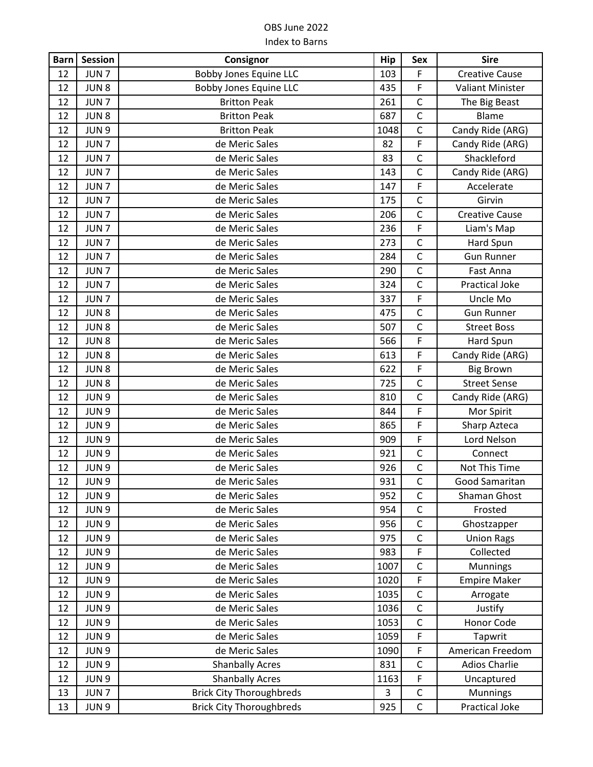| <b>Barn</b> | <b>Session</b>   | Consignor                       | <b>Hip</b> | <b>Sex</b>   | <b>Sire</b>             |
|-------------|------------------|---------------------------------|------------|--------------|-------------------------|
| 12          | JUN <sub>7</sub> | <b>Bobby Jones Equine LLC</b>   | 103        | F            | <b>Creative Cause</b>   |
| 12          | JUN <sub>8</sub> | <b>Bobby Jones Equine LLC</b>   | 435        | F            | <b>Valiant Minister</b> |
| 12          | JUN <sub>7</sub> | <b>Britton Peak</b>             | 261        | $\mathsf C$  | The Big Beast           |
| 12          | JUN <sub>8</sub> | <b>Britton Peak</b>             | 687        | $\mathsf{C}$ | Blame                   |
| 12          | JUN <sub>9</sub> | <b>Britton Peak</b>             | 1048       | $\mathsf C$  | Candy Ride (ARG)        |
| 12          | JUN <sub>7</sub> | de Meric Sales                  | 82         | F            | Candy Ride (ARG)        |
| 12          | JUN <sub>7</sub> | de Meric Sales                  | 83         | $\mathsf C$  | Shackleford             |
| 12          | JUN <sub>7</sub> | de Meric Sales                  | 143        | $\mathsf C$  | Candy Ride (ARG)        |
| 12          | JUN <sub>7</sub> | de Meric Sales                  | 147        | F            | Accelerate              |
| 12          | JUN <sub>7</sub> | de Meric Sales                  | 175        | $\mathsf{C}$ | Girvin                  |
| 12          | JUN <sub>7</sub> | de Meric Sales                  | 206        | $\mathsf{C}$ | <b>Creative Cause</b>   |
| 12          | JUN <sub>7</sub> | de Meric Sales                  | 236        | F            | Liam's Map              |
| 12          | JUN <sub>7</sub> | de Meric Sales                  | 273        | $\mathsf{C}$ | Hard Spun               |
| 12          | JUN <sub>7</sub> | de Meric Sales                  | 284        | $\mathsf{C}$ | <b>Gun Runner</b>       |
| 12          | JUN <sub>7</sub> | de Meric Sales                  | 290        | $\mathsf C$  | Fast Anna               |
| 12          | JUN <sub>7</sub> | de Meric Sales                  | 324        | $\mathsf{C}$ | <b>Practical Joke</b>   |
| 12          | JUN <sub>7</sub> | de Meric Sales                  | 337        | F            | Uncle Mo                |
| 12          | JUN <sub>8</sub> | de Meric Sales                  | 475        | $\mathsf C$  | <b>Gun Runner</b>       |
| 12          | JUN <sub>8</sub> | de Meric Sales                  | 507        | $\mathsf{C}$ | <b>Street Boss</b>      |
| 12          | JUN <sub>8</sub> | de Meric Sales                  | 566        | F            | Hard Spun               |
| 12          | JUN <sub>8</sub> | de Meric Sales                  | 613        | F            | Candy Ride (ARG)        |
| 12          | JUN <sub>8</sub> | de Meric Sales                  | 622        | $\mathsf F$  | <b>Big Brown</b>        |
| 12          | JUN <sub>8</sub> | de Meric Sales                  | 725        | $\mathsf{C}$ | <b>Street Sense</b>     |
| 12          | JUN <sub>9</sub> | de Meric Sales                  | 810        | $\mathsf{C}$ | Candy Ride (ARG)        |
| 12          | JUN 9            | de Meric Sales                  | 844        | F            | Mor Spirit              |
| 12          | JUN 9            | de Meric Sales                  | 865        | F            | Sharp Azteca            |
| 12          | JUN 9            | de Meric Sales                  | 909        | F            | Lord Nelson             |
| 12          | JUN 9            | de Meric Sales                  | 921        | $\mathsf C$  | Connect                 |
| 12          | JUN <sub>9</sub> | de Meric Sales                  | 926        | $\mathsf C$  | Not This Time           |
| 12          | JUN <sub>9</sub> | de Meric Sales                  | 931        | $\mathsf{C}$ | Good Samaritan          |
| 12          | JUN <sub>9</sub> | de Meric Sales                  | 952        | C            | Shaman Ghost            |
| 12          | JUN 9            | de Meric Sales                  | 954        | $\mathsf{C}$ | Frosted                 |
| 12          | JUN 9            | de Meric Sales                  | 956        | $\mathsf C$  | Ghostzapper             |
| 12          | JUN 9            | de Meric Sales                  | 975        | $\mathsf C$  | <b>Union Rags</b>       |
| 12          | JUN 9            | de Meric Sales                  | 983        | F            | Collected               |
| 12          | JUN 9            | de Meric Sales                  | 1007       | $\mathsf C$  | <b>Munnings</b>         |
| 12          | JUN 9            | de Meric Sales                  | 1020       | F            | <b>Empire Maker</b>     |
| 12          | JUN 9            | de Meric Sales                  | 1035       | $\mathsf C$  | Arrogate                |
| 12          | JUN 9            | de Meric Sales                  | 1036       | $\mathsf C$  | Justify                 |
| 12          | JUN 9            | de Meric Sales                  | 1053       | $\mathsf C$  | Honor Code              |
| 12          | JUN 9            | de Meric Sales                  | 1059       | $\mathsf F$  | Tapwrit                 |
| 12          | JUN 9            | de Meric Sales                  | 1090       | $\mathsf F$  | American Freedom        |
| 12          | JUN <sub>9</sub> | <b>Shanbally Acres</b>          | 831        | C            | <b>Adios Charlie</b>    |
| 12          | JUN 9            | <b>Shanbally Acres</b>          | 1163       | F            | Uncaptured              |
| 13          | JUN <sub>7</sub> | <b>Brick City Thoroughbreds</b> | 3          | $\mathsf C$  | Munnings                |
| 13          | JUN 9            | <b>Brick City Thoroughbreds</b> | 925        | $\mathsf C$  | <b>Practical Joke</b>   |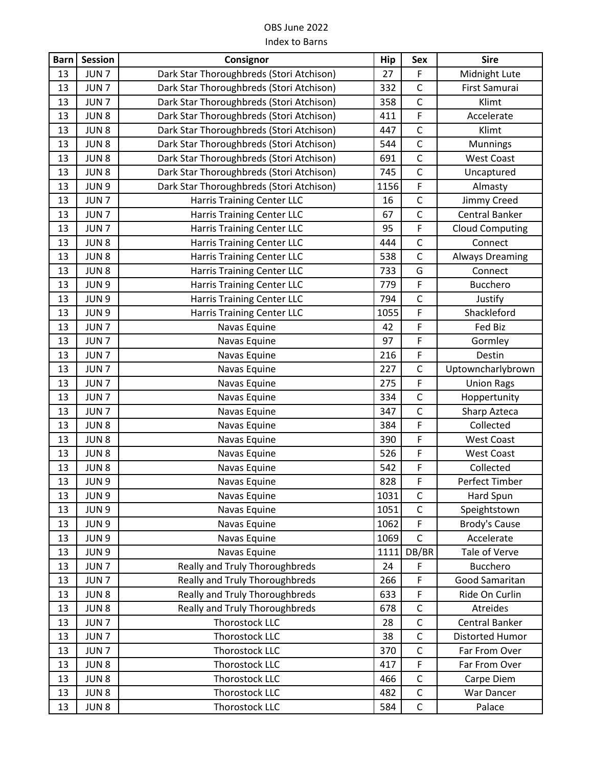| <b>Barn</b> | Session          | Consignor                                | <b>Hip</b> | <b>Sex</b>   | <b>Sire</b>            |
|-------------|------------------|------------------------------------------|------------|--------------|------------------------|
| 13          | JUN <sub>7</sub> | Dark Star Thoroughbreds (Stori Atchison) | 27         | F            | Midnight Lute          |
| 13          | JUN <sub>7</sub> | Dark Star Thoroughbreds (Stori Atchison) | 332        | $\mathsf C$  | First Samurai          |
| 13          | JUN <sub>7</sub> | Dark Star Thoroughbreds (Stori Atchison) | 358        | $\mathsf{C}$ | Klimt                  |
| 13          | JUN <sub>8</sub> | Dark Star Thoroughbreds (Stori Atchison) | 411        | F            | Accelerate             |
| 13          | JUN <sub>8</sub> | Dark Star Thoroughbreds (Stori Atchison) | 447        | $\mathsf C$  | Klimt                  |
| 13          | JUN8             | Dark Star Thoroughbreds (Stori Atchison) | 544        | $\mathsf{C}$ | Munnings               |
| 13          | JUN <sub>8</sub> | Dark Star Thoroughbreds (Stori Atchison) | 691        | $\mathsf C$  | <b>West Coast</b>      |
| 13          | JUN <sub>8</sub> | Dark Star Thoroughbreds (Stori Atchison) | 745        | $\mathsf C$  | Uncaptured             |
| 13          | JUN <sub>9</sub> | Dark Star Thoroughbreds (Stori Atchison) | 1156       | F            | Almasty                |
| 13          | JUN <sub>7</sub> | <b>Harris Training Center LLC</b>        | 16         | $\mathsf C$  | Jimmy Creed            |
| 13          | JUN <sub>7</sub> | <b>Harris Training Center LLC</b>        | 67         | $\mathsf C$  | <b>Central Banker</b>  |
| 13          | JUN <sub>7</sub> | Harris Training Center LLC               | 95         | F            | <b>Cloud Computing</b> |
| 13          | JUN8             | <b>Harris Training Center LLC</b>        | 444        | $\mathsf{C}$ | Connect                |
| 13          | JUN <sub>8</sub> | <b>Harris Training Center LLC</b>        | 538        | $\mathsf{C}$ | <b>Always Dreaming</b> |
| 13          | JUN 8            | <b>Harris Training Center LLC</b>        | 733        | G            | Connect                |
| 13          | JUN <sub>9</sub> | <b>Harris Training Center LLC</b>        | 779        | F            | <b>Bucchero</b>        |
| 13          | JUN 9            | <b>Harris Training Center LLC</b>        | 794        | $\mathsf C$  | Justify                |
| 13          | JUN 9            | <b>Harris Training Center LLC</b>        | 1055       | F            | Shackleford            |
| 13          | JUN <sub>7</sub> | Navas Equine                             | 42         | F            | Fed Biz                |
| 13          | JUN <sub>7</sub> | Navas Equine                             | 97         | F            | Gormley                |
| 13          | JUN <sub>7</sub> | Navas Equine                             | 216        | F            | Destin                 |
| 13          | JUN <sub>7</sub> | Navas Equine                             | 227        | $\mathsf C$  | Uptowncharlybrown      |
| 13          | JUN <sub>7</sub> | Navas Equine                             | 275        | F            | <b>Union Rags</b>      |
| 13          | JUN <sub>7</sub> | Navas Equine                             | 334        | $\mathsf{C}$ | Hoppertunity           |
| 13          | JUN <sub>7</sub> | Navas Equine                             | 347        | $\mathsf{C}$ | Sharp Azteca           |
| 13          | JUN <sub>8</sub> | Navas Equine                             | 384        | F            | Collected              |
| 13          | JUN <sub>8</sub> | Navas Equine                             | 390        | F            | <b>West Coast</b>      |
| 13          | JUN <sub>8</sub> | Navas Equine                             | 526        | F            | <b>West Coast</b>      |
| 13          | JUN <sub>8</sub> | Navas Equine                             | 542        | F            | Collected              |
| 13          | JUN <sub>9</sub> | Navas Equine                             | 828        | F            | Perfect Timber         |
| 13          | JUN 9            | Navas Equine                             | 1031       | $\mathsf C$  | Hard Spun              |
| 13          | JUN 9            | Navas Equine                             | 1051       | $\mathsf{C}$ | Speightstown           |
| 13          | JUN 9            | Navas Equine                             | 1062       | F            | Brody's Cause          |
| 13          | JUN 9            | Navas Equine                             | 1069       | $\mathsf{C}$ | Accelerate             |
| 13          | JUN 9            | Navas Equine                             | 1111       | DB/BR        | Tale of Verve          |
| 13          | JUN <sub>7</sub> | Really and Truly Thoroughbreds           | 24         | F            | Bucchero               |
| 13          | JUN <sub>7</sub> | Really and Truly Thoroughbreds           | 266        | F.           | Good Samaritan         |
| 13          | JUN <sub>8</sub> | Really and Truly Thoroughbreds           | 633        | F            | Ride On Curlin         |
| 13          | JUN <sub>8</sub> | Really and Truly Thoroughbreds           | 678        | $\mathsf{C}$ | Atreides               |
| 13          | JUN <sub>7</sub> | Thorostock LLC                           | 28         | $\mathsf C$  | Central Banker         |
| 13          | JUN <sub>7</sub> | Thorostock LLC                           | 38         | $\mathsf C$  | Distorted Humor        |
| 13          | JUN <sub>7</sub> | Thorostock LLC                           | 370        | $\mathsf C$  | Far From Over          |
| 13          | JUN <sub>8</sub> | Thorostock LLC                           | 417        | F            | Far From Over          |
| 13          | JUN <sub>8</sub> | Thorostock LLC                           | 466        | $\mathsf{C}$ | Carpe Diem             |
| 13          | JUN <sub>8</sub> | Thorostock LLC                           | 482        | $\mathsf C$  | War Dancer             |
| 13          | JUN <sub>8</sub> | Thorostock LLC                           | 584        | $\mathsf C$  | Palace                 |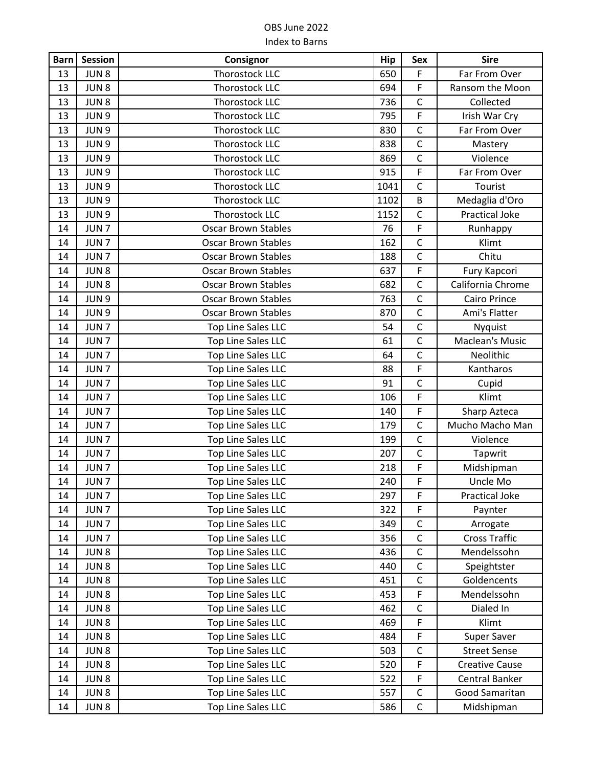| <b>Barn</b> | <b>Session</b>   | Consignor                  | Hip  | <b>Sex</b>     | <b>Sire</b>            |
|-------------|------------------|----------------------------|------|----------------|------------------------|
| 13          | JUN <sub>8</sub> | Thorostock LLC             | 650  | F              | Far From Over          |
| 13          | JUN <sub>8</sub> | <b>Thorostock LLC</b>      | 694  | F              | Ransom the Moon        |
| 13          | JUN <sub>8</sub> | Thorostock LLC             | 736  | $\mathsf C$    | Collected              |
| 13          | JUN 9            | Thorostock LLC             | 795  | F              | Irish War Cry          |
| 13          | JUN 9            | Thorostock LLC             | 830  | $\mathsf C$    | Far From Over          |
| 13          | JUN 9            | Thorostock LLC             | 838  | $\mathsf{C}$   | Mastery                |
| 13          | JUN 9            | Thorostock LLC             | 869  | $\mathsf C$    | Violence               |
| 13          | JUN <sub>9</sub> | <b>Thorostock LLC</b>      | 915  | F              | Far From Over          |
| 13          | JUN <sub>9</sub> | Thorostock LLC             | 1041 | $\mathsf{C}$   | Tourist                |
| 13          | JUN <sub>9</sub> | Thorostock LLC             | 1102 | B              | Medaglia d'Oro         |
| 13          | JUN 9            | Thorostock LLC             | 1152 | $\mathsf{C}$   | <b>Practical Joke</b>  |
| 14          | JUN <sub>7</sub> | <b>Oscar Brown Stables</b> | 76   | F              | Runhappy               |
| 14          | JUN <sub>7</sub> | <b>Oscar Brown Stables</b> | 162  | $\mathsf{C}$   | Klimt                  |
| 14          | JUN <sub>7</sub> | <b>Oscar Brown Stables</b> | 188  | $\mathsf{C}$   | Chitu                  |
| 14          | JUN <sub>8</sub> | <b>Oscar Brown Stables</b> | 637  | F              | Fury Kapcori           |
| 14          | JUN <sub>8</sub> | <b>Oscar Brown Stables</b> | 682  | $\mathsf{C}$   | California Chrome      |
| 14          | JUN 9            | <b>Oscar Brown Stables</b> | 763  | $\mathsf{C}$   | Cairo Prince           |
| 14          | JUN 9            | <b>Oscar Brown Stables</b> | 870  | $\mathsf{C}$   | Ami's Flatter          |
| 14          | JUN <sub>7</sub> | Top Line Sales LLC         | 54   | $\mathsf C$    | Nyquist                |
| 14          | JUN <sub>7</sub> | Top Line Sales LLC         | 61   | $\mathsf C$    | <b>Maclean's Music</b> |
| 14          | JUN <sub>7</sub> | Top Line Sales LLC         | 64   | $\mathsf{C}$   | Neolithic              |
| 14          | JUN <sub>7</sub> | Top Line Sales LLC         | 88   | F              | Kantharos              |
| 14          | JUN <sub>7</sub> | Top Line Sales LLC         | 91   | $\mathsf{C}$   | Cupid                  |
| 14          | JUN <sub>7</sub> | Top Line Sales LLC         | 106  | F              | Klimt                  |
| 14          | JUN <sub>7</sub> | Top Line Sales LLC         | 140  | F              | Sharp Azteca           |
| 14          | JUN <sub>7</sub> | Top Line Sales LLC         | 179  | $\mathsf{C}$   | Mucho Macho Man        |
| 14          | JUN <sub>7</sub> | Top Line Sales LLC         | 199  | $\mathsf{C}$   | Violence               |
| 14          | JUN <sub>7</sub> | Top Line Sales LLC         | 207  | $\mathsf{C}$   | Tapwrit                |
| 14          | JUN <sub>7</sub> | Top Line Sales LLC         | 218  | F              | Midshipman             |
| 14          | JUN <sub>7</sub> | <b>Top Line Sales LLC</b>  | 240  | $\overline{F}$ | Uncle Mo               |
| 14          | JUN <sub>7</sub> | Top Line Sales LLC         | 297  | F              | <b>Practical Joke</b>  |
| 14          | JUN <sub>7</sub> | Top Line Sales LLC         | 322  | F              | Paynter                |
| 14          | JUN <sub>7</sub> | Top Line Sales LLC         | 349  | $\mathsf{C}$   | Arrogate               |
| 14          | JUN <sub>7</sub> | Top Line Sales LLC         | 356  | C              | <b>Cross Traffic</b>   |
| 14          | JUN <sub>8</sub> | Top Line Sales LLC         | 436  | $\mathsf{C}$   | Mendelssohn            |
| 14          | JUN <sub>8</sub> | Top Line Sales LLC         | 440  | $\mathsf C$    | Speightster            |
| 14          | JUN <sub>8</sub> | Top Line Sales LLC         | 451  | $\mathsf C$    | Goldencents            |
| 14          | JUN <sub>8</sub> | Top Line Sales LLC         | 453  | F              | Mendelssohn            |
| 14          | JUN <sub>8</sub> | Top Line Sales LLC         | 462  | $\mathsf C$    | Dialed In              |
| 14          | JUN <sub>8</sub> | Top Line Sales LLC         | 469  | F              | Klimt                  |
| 14          | JUN <sub>8</sub> | Top Line Sales LLC         | 484  | F              | Super Saver            |
| 14          | JUN <sub>8</sub> | Top Line Sales LLC         | 503  | $\mathsf{C}$   | <b>Street Sense</b>    |
| 14          | JUN <sub>8</sub> | Top Line Sales LLC         | 520  | F              | <b>Creative Cause</b>  |
| 14          | JUN <sub>8</sub> | Top Line Sales LLC         | 522  | F              | Central Banker         |
| 14          | JUN <sub>8</sub> | Top Line Sales LLC         | 557  | $\mathsf C$    | Good Samaritan         |
| 14          | JUN <sub>8</sub> | Top Line Sales LLC         | 586  | $\mathsf C$    | Midshipman             |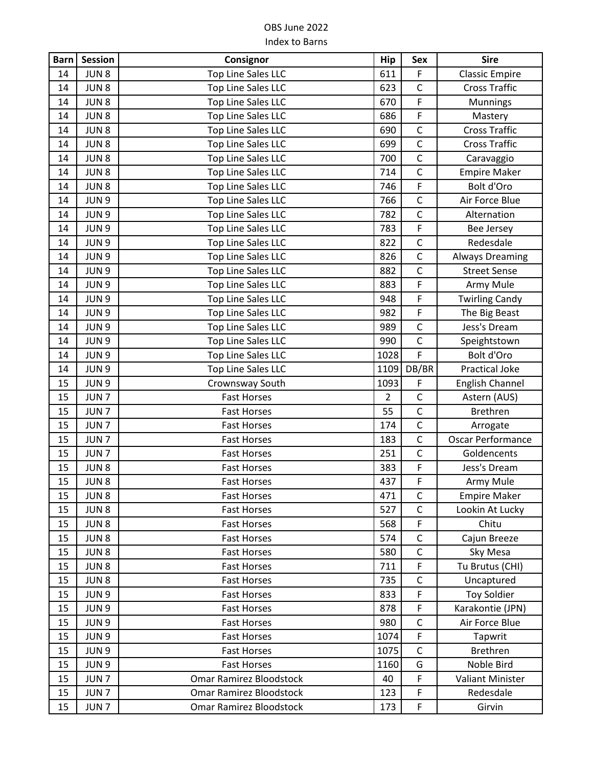| <b>Barn</b> | <b>Session</b>   | Consignor                      | Hip            | Sex          | <b>Sire</b>              |
|-------------|------------------|--------------------------------|----------------|--------------|--------------------------|
| 14          | JUN <sub>8</sub> | Top Line Sales LLC             | 611            | F            | <b>Classic Empire</b>    |
| 14          | JUN <sub>8</sub> | Top Line Sales LLC             | 623            | $\mathsf{C}$ | <b>Cross Traffic</b>     |
| 14          | JUN <sub>8</sub> | Top Line Sales LLC             | 670            | F            | <b>Munnings</b>          |
| 14          | JUN <sub>8</sub> | Top Line Sales LLC             | 686            | F            | Mastery                  |
| 14          | JUN <sub>8</sub> | Top Line Sales LLC             | 690            | $\mathsf C$  | <b>Cross Traffic</b>     |
| 14          | JUN <sub>8</sub> | Top Line Sales LLC             | 699            | $\mathsf{C}$ | <b>Cross Traffic</b>     |
| 14          | JUN <sub>8</sub> | Top Line Sales LLC             | 700            | $\mathsf{C}$ | Caravaggio               |
| 14          | JUN <sub>8</sub> | Top Line Sales LLC             | 714            | $\mathsf C$  | <b>Empire Maker</b>      |
| 14          | JUN <sub>8</sub> | Top Line Sales LLC             | 746            | F            | Bolt d'Oro               |
| 14          | JUN <sub>9</sub> | Top Line Sales LLC             | 766            | $\mathsf C$  | Air Force Blue           |
| 14          | JUN 9            | Top Line Sales LLC             | 782            | $\mathsf{C}$ | Alternation              |
| 14          | JUN 9            | Top Line Sales LLC             | 783            | F            | Bee Jersey               |
| 14          | JUN 9            | Top Line Sales LLC             | 822            | $\mathsf{C}$ | Redesdale                |
| 14          | JUN 9            | Top Line Sales LLC             | 826            | $\mathsf{C}$ | <b>Always Dreaming</b>   |
| 14          | JUN 9            | Top Line Sales LLC             | 882            | $\mathsf{C}$ | <b>Street Sense</b>      |
| 14          | JUN <sub>9</sub> | Top Line Sales LLC             | 883            | F            | Army Mule                |
| 14          | JUN <sub>9</sub> | Top Line Sales LLC             | 948            | F            | <b>Twirling Candy</b>    |
| 14          | JUN 9            | Top Line Sales LLC             | 982            | F            | The Big Beast            |
| 14          | JUN 9            | Top Line Sales LLC             | 989            | $\mathsf C$  | Jess's Dream             |
| 14          | JUN 9            | Top Line Sales LLC             | 990            | $\mathsf C$  | Speightstown             |
| 14          | JUN 9            | Top Line Sales LLC             | 1028           | F            | Bolt d'Oro               |
| 14          | JUN <sub>9</sub> | Top Line Sales LLC             | 1109           | DB/BR        | <b>Practical Joke</b>    |
| 15          | JUN 9            | Crownsway South                | 1093           | F            | English Channel          |
| 15          | JUN <sub>7</sub> | <b>Fast Horses</b>             | $\overline{2}$ | $\mathsf C$  | Astern (AUS)             |
| 15          | JUN <sub>7</sub> | <b>Fast Horses</b>             | 55             | $\mathsf{C}$ | Brethren                 |
| 15          | JUN <sub>7</sub> | <b>Fast Horses</b>             | 174            | $\mathsf{C}$ | Arrogate                 |
| 15          | JUN <sub>7</sub> | <b>Fast Horses</b>             | 183            | $\mathsf{C}$ | <b>Oscar Performance</b> |
| 15          | JUN <sub>7</sub> | <b>Fast Horses</b>             | 251            | $\mathsf{C}$ | Goldencents              |
| 15          | JUN <sub>8</sub> | <b>Fast Horses</b>             | 383            | F            | Jess's Dream             |
| 15          | JUN <sub>8</sub> | <b>Fast Horses</b>             | 437            | F            | Army Mule                |
| 15          | JUN <sub>8</sub> | <b>Fast Horses</b>             | 471            | $\mathsf C$  | <b>Empire Maker</b>      |
| 15          | JUN <sub>8</sub> | <b>Fast Horses</b>             | 527            | $\mathsf C$  | Lookin At Lucky          |
| 15          | JUN <sub>8</sub> | <b>Fast Horses</b>             | 568            | F            | Chitu                    |
| 15          | JUN <sub>8</sub> | <b>Fast Horses</b>             | 574            | $\mathsf C$  | Cajun Breeze             |
| 15          | JUN <sub>8</sub> | <b>Fast Horses</b>             | 580            | $\mathsf{C}$ | Sky Mesa                 |
| 15          | JUN <sub>8</sub> | <b>Fast Horses</b>             | 711            | F            | Tu Brutus (CHI)          |
| 15          | JUN <sub>8</sub> | <b>Fast Horses</b>             | 735            | $\mathsf{C}$ | Uncaptured               |
| 15          | JUN 9            | <b>Fast Horses</b>             | 833            | F            | <b>Toy Soldier</b>       |
| 15          | JUN 9            | <b>Fast Horses</b>             | 878            | F            | Karakontie (JPN)         |
| 15          | JUN 9            | <b>Fast Horses</b>             | 980            | $\mathsf{C}$ | Air Force Blue           |
| 15          | JUN <sub>9</sub> | <b>Fast Horses</b>             | 1074           | F            | Tapwrit                  |
| 15          | JUN 9            | <b>Fast Horses</b>             | 1075           | $\mathsf{C}$ | Brethren                 |
| 15          | JUN 9            | <b>Fast Horses</b>             | 1160           | G            | Noble Bird               |
| 15          | JUN <sub>7</sub> | <b>Omar Ramirez Bloodstock</b> | 40             | F            | Valiant Minister         |
| 15          | JUN <sub>7</sub> | Omar Ramirez Bloodstock        | 123            | F            | Redesdale                |
| 15          | JUN <sub>7</sub> | Omar Ramirez Bloodstock        | 173            | $\mathsf F$  | Girvin                   |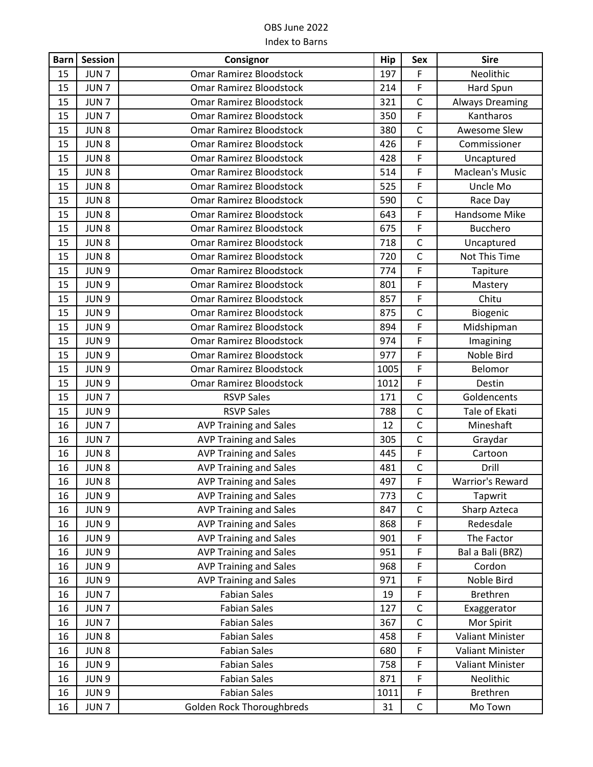| <b>Barn</b> | <b>Session</b>   | Consignor                        | Hip  | <b>Sex</b>     | <b>Sire</b>             |
|-------------|------------------|----------------------------------|------|----------------|-------------------------|
| 15          | JUN <sub>7</sub> | <b>Omar Ramirez Bloodstock</b>   | 197  | F              | Neolithic               |
| 15          | JUN <sub>7</sub> | <b>Omar Ramirez Bloodstock</b>   | 214  | F              | Hard Spun               |
| 15          | JUN <sub>7</sub> | <b>Omar Ramirez Bloodstock</b>   | 321  | $\mathsf{C}$   | <b>Always Dreaming</b>  |
| 15          | JUN <sub>7</sub> | <b>Omar Ramirez Bloodstock</b>   | 350  | F              | Kantharos               |
| 15          | JUN <sub>8</sub> | Omar Ramirez Bloodstock          | 380  | $\mathsf{C}$   | Awesome Slew            |
| 15          | JUN <sub>8</sub> | <b>Omar Ramirez Bloodstock</b>   | 426  | F              | Commissioner            |
| 15          | JUN <sub>8</sub> | <b>Omar Ramirez Bloodstock</b>   | 428  | F              | Uncaptured              |
| 15          | JUN <sub>8</sub> | Omar Ramirez Bloodstock          | 514  | F              | Maclean's Music         |
| 15          | JUN <sub>8</sub> | Omar Ramirez Bloodstock          | 525  | F              | Uncle Mo                |
| 15          | JUN <sub>8</sub> | Omar Ramirez Bloodstock          | 590  | $\mathsf{C}$   | Race Day                |
| 15          | JUN <sub>8</sub> | <b>Omar Ramirez Bloodstock</b>   | 643  | F              | Handsome Mike           |
| 15          | JUN <sub>8</sub> | Omar Ramirez Bloodstock          | 675  | F              | <b>Bucchero</b>         |
| 15          | JUN <sub>8</sub> | Omar Ramirez Bloodstock          | 718  | $\mathsf{C}$   | Uncaptured              |
| 15          | JUN <sub>8</sub> | Omar Ramirez Bloodstock          | 720  | $\mathsf C$    | Not This Time           |
| 15          | JUN 9            | Omar Ramirez Bloodstock          | 774  | F              | Tapiture                |
| 15          | JUN 9            | Omar Ramirez Bloodstock          | 801  | F              | Mastery                 |
| 15          | JUN <sub>9</sub> | Omar Ramirez Bloodstock          | 857  | F              | Chitu                   |
| 15          | JUN <sub>9</sub> | <b>Omar Ramirez Bloodstock</b>   | 875  | $\mathsf{C}$   | Biogenic                |
| 15          | JUN <sub>9</sub> | Omar Ramirez Bloodstock          | 894  | $\overline{F}$ | Midshipman              |
| 15          | JUN 9            | <b>Omar Ramirez Bloodstock</b>   | 974  | F              | Imagining               |
| 15          | JUN 9            | Omar Ramirez Bloodstock          | 977  | F              | Noble Bird              |
| 15          | JUN 9            | <b>Omar Ramirez Bloodstock</b>   | 1005 | F              | Belomor                 |
| 15          | JUN 9            | Omar Ramirez Bloodstock          | 1012 | F              | Destin                  |
| 15          | JUN <sub>7</sub> | <b>RSVP Sales</b>                | 171  | $\mathsf{C}$   | Goldencents             |
| 15          | JUN 9            | <b>RSVP Sales</b>                | 788  | $\mathsf{C}$   | Tale of Ekati           |
| 16          | JUN <sub>7</sub> | <b>AVP Training and Sales</b>    | 12   | $\mathsf C$    | Mineshaft               |
| 16          | JUN <sub>7</sub> | <b>AVP Training and Sales</b>    | 305  | $\mathsf{C}$   | Graydar                 |
| 16          | JUN <sub>8</sub> | <b>AVP Training and Sales</b>    | 445  | F              | Cartoon                 |
| 16          | JUN <sub>8</sub> | <b>AVP Training and Sales</b>    | 481  | $\mathsf C$    | Drill                   |
| 16          | JUN <sub>8</sub> | <b>AVP Training and Sales</b>    | 497  | F              | <b>Warrior's Reward</b> |
| 16          | JUN <sub>9</sub> | <b>AVP Training and Sales</b>    | 773  | $\mathsf C$    | Tapwrit                 |
| 16          | JUN 9            | <b>AVP Training and Sales</b>    | 847  | $\mathsf{C}$   | Sharp Azteca            |
| 16          | JUN 9            | <b>AVP Training and Sales</b>    | 868  | F              | Redesdale               |
| 16          | JUN 9            | <b>AVP Training and Sales</b>    | 901  | F              | The Factor              |
| 16          | JUN 9            | <b>AVP Training and Sales</b>    | 951  | F              | Bal a Bali (BRZ)        |
| 16          | JUN 9            | <b>AVP Training and Sales</b>    | 968  | F              | Cordon                  |
| 16          | JUN 9            | <b>AVP Training and Sales</b>    | 971  | F              | Noble Bird              |
| 16          | JUN <sub>7</sub> | <b>Fabian Sales</b>              | 19   | $\mathsf F$    | Brethren                |
| 16          | JUN <sub>7</sub> | <b>Fabian Sales</b>              | 127  | $\mathsf{C}$   | Exaggerator             |
| 16          | JUN <sub>7</sub> | <b>Fabian Sales</b>              | 367  | $\mathsf C$    | Mor Spirit              |
| 16          | JUN <sub>8</sub> | <b>Fabian Sales</b>              | 458  | F              | <b>Valiant Minister</b> |
| 16          | JUN <sub>8</sub> | <b>Fabian Sales</b>              | 680  | F              | <b>Valiant Minister</b> |
| 16          | JUN <sub>9</sub> | <b>Fabian Sales</b>              | 758  | F              | <b>Valiant Minister</b> |
| 16          | JUN 9            | <b>Fabian Sales</b>              | 871  | F              | Neolithic               |
| 16          | JUN 9            | <b>Fabian Sales</b>              | 1011 | F              | <b>Brethren</b>         |
| 16          | JUN <sub>7</sub> | <b>Golden Rock Thoroughbreds</b> | 31   | $\mathsf C$    | Mo Town                 |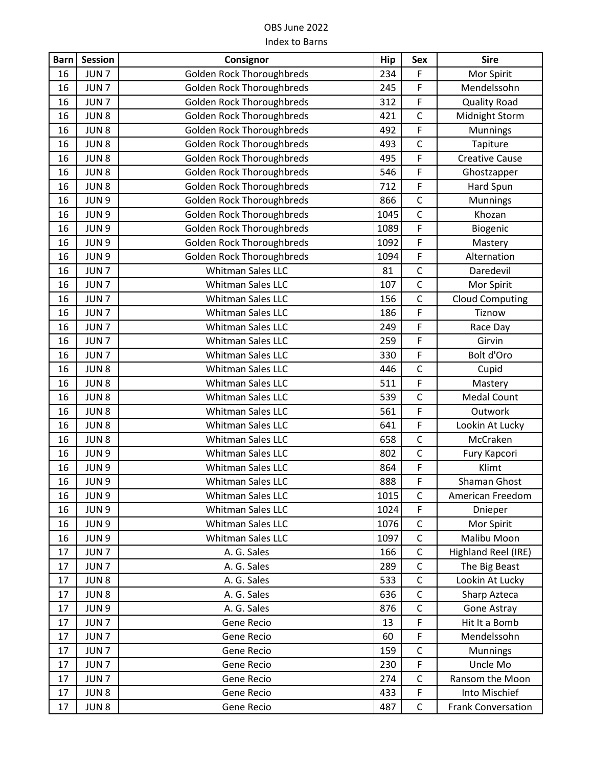| <b>Barn</b> | <b>Session</b>   | Consignor                        | Hip  | Sex          | <b>Sire</b>               |
|-------------|------------------|----------------------------------|------|--------------|---------------------------|
| 16          | JUN <sub>7</sub> | <b>Golden Rock Thoroughbreds</b> | 234  | F            | Mor Spirit                |
| 16          | JUN <sub>7</sub> | <b>Golden Rock Thoroughbreds</b> | 245  | F            | Mendelssohn               |
| 16          | JUN <sub>7</sub> | <b>Golden Rock Thoroughbreds</b> | 312  | F            | <b>Quality Road</b>       |
| 16          | JUN8             | <b>Golden Rock Thoroughbreds</b> | 421  | $\mathsf{C}$ | Midnight Storm            |
| 16          | JUN <sub>8</sub> | <b>Golden Rock Thoroughbreds</b> | 492  | F            | Munnings                  |
| 16          | JUN8             | <b>Golden Rock Thoroughbreds</b> | 493  | $\mathsf{C}$ | Tapiture                  |
| 16          | JUN <sub>8</sub> | <b>Golden Rock Thoroughbreds</b> | 495  | F            | <b>Creative Cause</b>     |
| 16          | JUN <sub>8</sub> | <b>Golden Rock Thoroughbreds</b> | 546  | F            | Ghostzapper               |
| 16          | JUN <sub>8</sub> | <b>Golden Rock Thoroughbreds</b> | 712  | F            | Hard Spun                 |
| 16          | JUN <sub>9</sub> | <b>Golden Rock Thoroughbreds</b> | 866  | $\mathsf{C}$ | Munnings                  |
| 16          | JUN 9            | <b>Golden Rock Thoroughbreds</b> | 1045 | $\mathsf{C}$ | Khozan                    |
| 16          | JUN <sub>9</sub> | <b>Golden Rock Thoroughbreds</b> | 1089 | F            | Biogenic                  |
| 16          | JUN 9            | <b>Golden Rock Thoroughbreds</b> | 1092 | F            | Mastery                   |
| 16          | JUN <sub>9</sub> | <b>Golden Rock Thoroughbreds</b> | 1094 | F            | Alternation               |
| 16          | JUN <sub>7</sub> | <b>Whitman Sales LLC</b>         | 81   | $\mathsf{C}$ | Daredevil                 |
| 16          | JUN <sub>7</sub> | <b>Whitman Sales LLC</b>         | 107  | $\mathsf C$  | Mor Spirit                |
| 16          | JUN <sub>7</sub> | Whitman Sales LLC                | 156  | $\mathsf C$  | <b>Cloud Computing</b>    |
| 16          | JUN <sub>7</sub> | <b>Whitman Sales LLC</b>         | 186  | F            | Tiznow                    |
| 16          | JUN <sub>7</sub> | Whitman Sales LLC                | 249  | F            | Race Day                  |
| 16          | JUN <sub>7</sub> | Whitman Sales LLC                | 259  | F            | Girvin                    |
| 16          | JUN <sub>7</sub> | Whitman Sales LLC                | 330  | F            | Bolt d'Oro                |
| 16          | JUN <sub>8</sub> | Whitman Sales LLC                | 446  | $\mathsf{C}$ | Cupid                     |
| 16          | JUN8             | Whitman Sales LLC                | 511  | F            | Mastery                   |
| 16          | JUN <sub>8</sub> | Whitman Sales LLC                | 539  | $\mathsf{C}$ | <b>Medal Count</b>        |
| 16          | JUN <sub>8</sub> | Whitman Sales LLC                | 561  | F            | Outwork                   |
| 16          | JUN <sub>8</sub> | Whitman Sales LLC                | 641  | F            | Lookin At Lucky           |
| 16          | JUN <sub>8</sub> | <b>Whitman Sales LLC</b>         | 658  | $\mathsf{C}$ | McCraken                  |
| 16          | JUN 9            | Whitman Sales LLC                | 802  | $\mathsf C$  | Fury Kapcori              |
| 16          | JUN <sub>9</sub> | Whitman Sales LLC                | 864  | F            | Klimt                     |
| 16          | JUN 9            | <b>Whitman Sales LLC</b>         | 888  | F            | Shaman Ghost              |
| 16          | JUN <sub>9</sub> | Whitman Sales LLC                | 1015 | C            | American Freedom          |
| 16          | JUN 9            | Whitman Sales LLC                | 1024 | F            | Dnieper                   |
| 16          | JUN 9            | Whitman Sales LLC                | 1076 | $\mathsf C$  | Mor Spirit                |
| 16          | JUN 9            | Whitman Sales LLC                | 1097 | $\mathsf C$  | Malibu Moon               |
| 17          | JUN <sub>7</sub> | A. G. Sales                      | 166  | $\mathsf{C}$ | Highland Reel (IRE)       |
| 17          | JUN <sub>7</sub> | A. G. Sales                      | 289  | $\mathsf C$  | The Big Beast             |
| 17          | JUN <sub>8</sub> | A. G. Sales                      | 533  | $\mathsf{C}$ | Lookin At Lucky           |
| 17          | JUN <sub>8</sub> | A. G. Sales                      | 636  | $\mathsf C$  | Sharp Azteca              |
| 17          | JUN 9            | A. G. Sales                      | 876  | $\mathsf{C}$ | Gone Astray               |
| 17          | JUN <sub>7</sub> | Gene Recio                       | 13   | F            | Hit It a Bomb             |
| 17          | JUN <sub>7</sub> | Gene Recio                       | 60   | F            | Mendelssohn               |
| 17          | JUN <sub>7</sub> | Gene Recio                       | 159  | $\mathsf{C}$ | Munnings                  |
| 17          | JUN <sub>7</sub> | Gene Recio                       | 230  | F            | Uncle Mo                  |
| 17          | JUN <sub>7</sub> | Gene Recio                       | 274  | $\mathsf C$  | Ransom the Moon           |
| 17          | JUN <sub>8</sub> | Gene Recio                       | 433  | F            | Into Mischief             |
| 17          | JUN <sub>8</sub> | Gene Recio                       | 487  | $\mathsf{C}$ | <b>Frank Conversation</b> |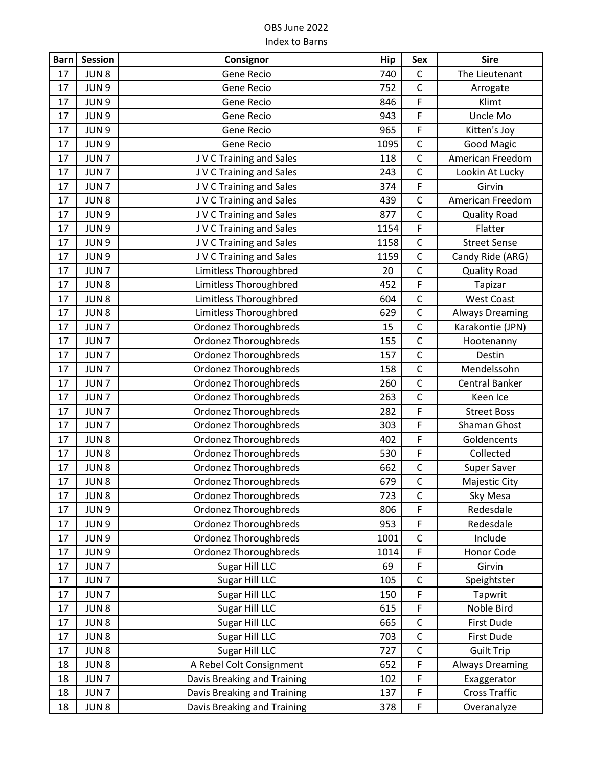| <b>Barn</b> | <b>Session</b>   | Consignor                    | <b>Hip</b> | Sex            | <b>Sire</b>            |
|-------------|------------------|------------------------------|------------|----------------|------------------------|
| 17          | JUN <sub>8</sub> | Gene Recio                   | 740        | $\mathsf C$    | The Lieutenant         |
| 17          | JUN 9            | Gene Recio                   | 752        | $\mathsf{C}$   | Arrogate               |
| 17          | JUN <sub>9</sub> | Gene Recio                   | 846        | $\mathsf F$    | Klimt                  |
| 17          | JUN 9            | Gene Recio                   | 943        | F              | Uncle Mo               |
| 17          | JUN 9            | Gene Recio                   | 965        | F              | Kitten's Joy           |
| 17          | JUN 9            | Gene Recio                   | 1095       | $\mathsf C$    | <b>Good Magic</b>      |
| 17          | JUN <sub>7</sub> | J V C Training and Sales     | 118        | $\mathsf C$    | American Freedom       |
| 17          | JUN <sub>7</sub> | J V C Training and Sales     | 243        | $\mathsf C$    | Lookin At Lucky        |
| 17          | JUN <sub>7</sub> | J V C Training and Sales     | 374        | $\mathsf F$    | Girvin                 |
| 17          | JUN <sub>8</sub> | J V C Training and Sales     | 439        | $\mathsf C$    | American Freedom       |
| 17          | JUN 9            | J V C Training and Sales     | 877        | $\overline{C}$ | <b>Quality Road</b>    |
| 17          | JUN 9            | J V C Training and Sales     | 1154       | $\mathsf F$    | Flatter                |
| 17          | JUN 9            | J V C Training and Sales     | 1158       | $\mathsf C$    | <b>Street Sense</b>    |
| 17          | JUN 9            | J V C Training and Sales     | 1159       | $\mathsf{C}$   | Candy Ride (ARG)       |
| 17          | JUN <sub>7</sub> | Limitless Thoroughbred       | 20         | $\mathsf C$    | <b>Quality Road</b>    |
| 17          | JUN <sub>8</sub> | Limitless Thoroughbred       | 452        | $\mathsf F$    | Tapizar                |
| 17          | JUN <sub>8</sub> | Limitless Thoroughbred       | 604        | $\mathsf C$    | <b>West Coast</b>      |
| 17          | JUN <sub>8</sub> | Limitless Thoroughbred       | 629        | $\mathsf C$    | <b>Always Dreaming</b> |
| 17          | JUN <sub>7</sub> | <b>Ordonez Thoroughbreds</b> | 15         | $\mathsf C$    | Karakontie (JPN)       |
| 17          | JUN <sub>7</sub> | <b>Ordonez Thoroughbreds</b> | 155        | $\mathsf C$    | Hootenanny             |
| 17          | JUN <sub>7</sub> | <b>Ordonez Thoroughbreds</b> | 157        | $\mathsf{C}$   | Destin                 |
| 17          | JUN <sub>7</sub> | <b>Ordonez Thoroughbreds</b> | 158        | $\mathsf C$    | Mendelssohn            |
| 17          | JUN <sub>7</sub> | <b>Ordonez Thoroughbreds</b> | 260        | $\mathsf{C}$   | <b>Central Banker</b>  |
| 17          | JUN <sub>7</sub> | <b>Ordonez Thoroughbreds</b> | 263        | $\mathsf C$    | Keen Ice               |
| 17          | JUN <sub>7</sub> | <b>Ordonez Thoroughbreds</b> | 282        | $\mathsf F$    | <b>Street Boss</b>     |
| 17          | JUN <sub>7</sub> | <b>Ordonez Thoroughbreds</b> | 303        | $\mathsf F$    | Shaman Ghost           |
| 17          | JUN <sub>8</sub> | <b>Ordonez Thoroughbreds</b> | 402        | $\mathsf F$    | Goldencents            |
| 17          | JUN <sub>8</sub> | <b>Ordonez Thoroughbreds</b> | 530        | F              | Collected              |
| 17          | JUN <sub>8</sub> | <b>Ordonez Thoroughbreds</b> | 662        | $\mathsf C$    | Super Saver            |
| 17          | JUN <sub>8</sub> | <b>Ordonez Thoroughbreds</b> | 679        | $\overline{C}$ | <b>Majestic City</b>   |
| 17          | JUN <sub>8</sub> | <b>Ordonez Thoroughbreds</b> | 723        | $\mathsf C$    | Sky Mesa               |
| 17          | JUN 9            | <b>Ordonez Thoroughbreds</b> | 806        | F              | Redesdale              |
| 17          | JUN 9            | <b>Ordonez Thoroughbreds</b> | 953        | F              | Redesdale              |
| 17          | JUN <sub>9</sub> | <b>Ordonez Thoroughbreds</b> | 1001       | $\mathsf C$    | Include                |
| 17          | JUN <sub>9</sub> | <b>Ordonez Thoroughbreds</b> | 1014       | $\mathsf F$    | Honor Code             |
| 17          | JUN <sub>7</sub> | Sugar Hill LLC               | 69         | $\mathsf F$    | Girvin                 |
| 17          | JUN <sub>7</sub> | Sugar Hill LLC               | 105        | $\mathsf C$    | Speightster            |
| 17          | JUN <sub>7</sub> | Sugar Hill LLC               | 150        | F              | Tapwrit                |
| 17          | JUN <sub>8</sub> | Sugar Hill LLC               | 615        | $\mathsf F$    | Noble Bird             |
| 17          | JUN <sub>8</sub> | Sugar Hill LLC               | 665        | $\mathsf C$    | First Dude             |
| 17          | JUN <sub>8</sub> | Sugar Hill LLC               | 703        | $\mathsf C$    | First Dude             |
| 17          | JUN <sub>8</sub> | Sugar Hill LLC               | 727        | $\mathsf{C}$   | <b>Guilt Trip</b>      |
| 18          | JUN <sub>8</sub> | A Rebel Colt Consignment     | 652        | $\mathsf F$    | <b>Always Dreaming</b> |
| 18          | JUN <sub>7</sub> | Davis Breaking and Training  | 102        | $\mathsf F$    | Exaggerator            |
| 18          | JUN <sub>7</sub> | Davis Breaking and Training  | 137        | $\mathsf F$    | <b>Cross Traffic</b>   |
| 18          | JUN <sub>8</sub> | Davis Breaking and Training  | 378        | $\mathsf F$    | Overanalyze            |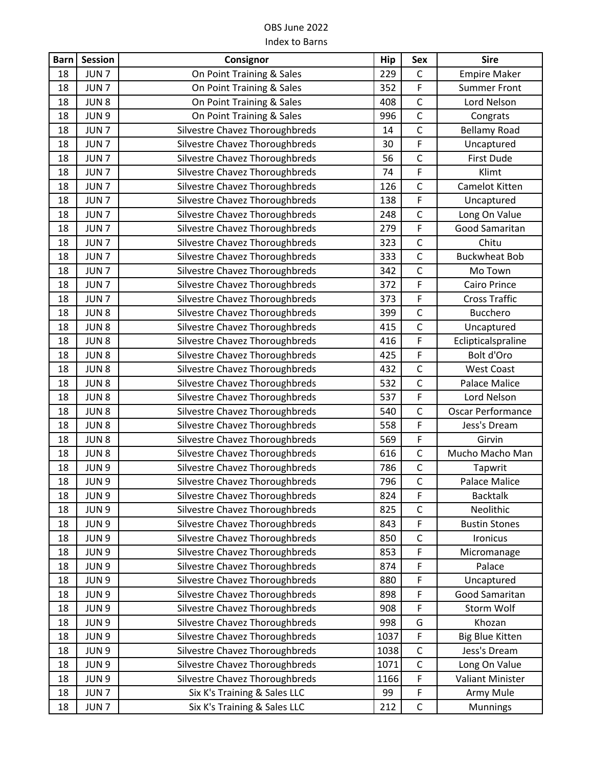| <b>Barn</b> | Session          | Consignor                      | <b>Hip</b> | Sex            | <b>Sire</b>            |
|-------------|------------------|--------------------------------|------------|----------------|------------------------|
| 18          | JUN <sub>7</sub> | On Point Training & Sales      | 229        | $\mathsf{C}$   | <b>Empire Maker</b>    |
| 18          | JUN <sub>7</sub> | On Point Training & Sales      | 352        | F              | <b>Summer Front</b>    |
| 18          | JUN <sub>8</sub> | On Point Training & Sales      | 408        | $\mathsf{C}$   | Lord Nelson            |
| 18          | JUN 9            | On Point Training & Sales      | 996        | $\overline{C}$ | Congrats               |
| 18          | JUN <sub>7</sub> | Silvestre Chavez Thoroughbreds | 14         | $\mathsf{C}$   | <b>Bellamy Road</b>    |
| 18          | JUN <sub>7</sub> | Silvestre Chavez Thoroughbreds | 30         | F              | Uncaptured             |
| 18          | JUN <sub>7</sub> | Silvestre Chavez Thoroughbreds | 56         | $\overline{C}$ | First Dude             |
| 18          | JUN <sub>7</sub> | Silvestre Chavez Thoroughbreds | 74         | F              | Klimt                  |
| 18          | JUN <sub>7</sub> | Silvestre Chavez Thoroughbreds | 126        | $\mathsf C$    | Camelot Kitten         |
| 18          | JUN <sub>7</sub> | Silvestre Chavez Thoroughbreds | 138        | F              | Uncaptured             |
| 18          | JUN <sub>7</sub> | Silvestre Chavez Thoroughbreds | 248        | $\mathsf{C}$   | Long On Value          |
| 18          | JUN <sub>7</sub> | Silvestre Chavez Thoroughbreds | 279        | F              | Good Samaritan         |
| 18          | JUN <sub>7</sub> | Silvestre Chavez Thoroughbreds | 323        | $\mathsf{C}$   | Chitu                  |
| 18          | JUN <sub>7</sub> | Silvestre Chavez Thoroughbreds | 333        | $\mathsf C$    | <b>Buckwheat Bob</b>   |
| 18          | JUN <sub>7</sub> | Silvestre Chavez Thoroughbreds | 342        | $\mathsf{C}$   | Mo Town                |
| 18          | JUN <sub>7</sub> | Silvestre Chavez Thoroughbreds | 372        | F              | <b>Cairo Prince</b>    |
| 18          | JUN <sub>7</sub> | Silvestre Chavez Thoroughbreds | 373        | F              | <b>Cross Traffic</b>   |
| 18          | JUN <sub>8</sub> | Silvestre Chavez Thoroughbreds | 399        | $\mathsf{C}$   | <b>Bucchero</b>        |
| 18          | JUN <sub>8</sub> | Silvestre Chavez Thoroughbreds | 415        | $\mathsf C$    | Uncaptured             |
| 18          | JUN <sub>8</sub> | Silvestre Chavez Thoroughbreds | 416        | F              | Eclipticalspraline     |
| 18          | JUN <sub>8</sub> | Silvestre Chavez Thoroughbreds | 425        | F              | Bolt d'Oro             |
| 18          | JUN <sub>8</sub> | Silvestre Chavez Thoroughbreds | 432        | $\mathsf{C}$   | <b>West Coast</b>      |
| 18          | JUN <sub>8</sub> | Silvestre Chavez Thoroughbreds | 532        | $\mathsf{C}$   | Palace Malice          |
| 18          | JUN <sub>8</sub> | Silvestre Chavez Thoroughbreds | 537        | F              | Lord Nelson            |
| 18          | JUN <sub>8</sub> | Silvestre Chavez Thoroughbreds | 540        | $\mathsf{C}$   | Oscar Performance      |
| 18          | JUN <sub>8</sub> | Silvestre Chavez Thoroughbreds | 558        | $\overline{F}$ | Jess's Dream           |
| 18          | JUN <sub>8</sub> | Silvestre Chavez Thoroughbreds | 569        | F              | Girvin                 |
| 18          | JUN <sub>8</sub> | Silvestre Chavez Thoroughbreds | 616        | $\mathsf C$    | Mucho Macho Man        |
| 18          | JUN <sub>9</sub> | Silvestre Chavez Thoroughbreds | 786        | $\mathsf C$    | Tapwrit                |
| 18          | JUN <sub>9</sub> | Silvestre Chavez Thoroughbreds | 796        | $\mathsf C$    | <b>Palace Malice</b>   |
| 18          | JUN <sub>9</sub> | Silvestre Chavez Thoroughbreds | 824        | F              | <b>Backtalk</b>        |
| 18          | JUN 9            | Silvestre Chavez Thoroughbreds | 825        | $\mathsf{C}$   | Neolithic              |
| 18          | JUN 9            | Silvestre Chavez Thoroughbreds | 843        | F              | <b>Bustin Stones</b>   |
| 18          | JUN 9            | Silvestre Chavez Thoroughbreds | 850        | $\mathsf C$    | Ironicus               |
| 18          | JUN 9            | Silvestre Chavez Thoroughbreds | 853        | F              | Micromanage            |
| 18          | JUN 9            | Silvestre Chavez Thoroughbreds | 874        | F              | Palace                 |
| 18          | JUN 9            | Silvestre Chavez Thoroughbreds | 880        | F              | Uncaptured             |
| 18          | JUN 9            | Silvestre Chavez Thoroughbreds | 898        | F              | Good Samaritan         |
| 18          | JUN 9            | Silvestre Chavez Thoroughbreds | 908        | F              | Storm Wolf             |
| 18          | JUN 9            | Silvestre Chavez Thoroughbreds | 998        | G              | Khozan                 |
| 18          | JUN 9            | Silvestre Chavez Thoroughbreds | 1037       | F              | <b>Big Blue Kitten</b> |
| 18          | JUN 9            | Silvestre Chavez Thoroughbreds | 1038       | $\mathsf{C}$   | Jess's Dream           |
| 18          | JUN 9            | Silvestre Chavez Thoroughbreds | 1071       | $\mathsf C$    | Long On Value          |
| 18          | JUN 9            | Silvestre Chavez Thoroughbreds | 1166       | F              | Valiant Minister       |
| 18          | JUN <sub>7</sub> | Six K's Training & Sales LLC   | 99         | F              | Army Mule              |
| 18          | JUN <sub>7</sub> | Six K's Training & Sales LLC   | 212        | $\mathsf C$    | Munnings               |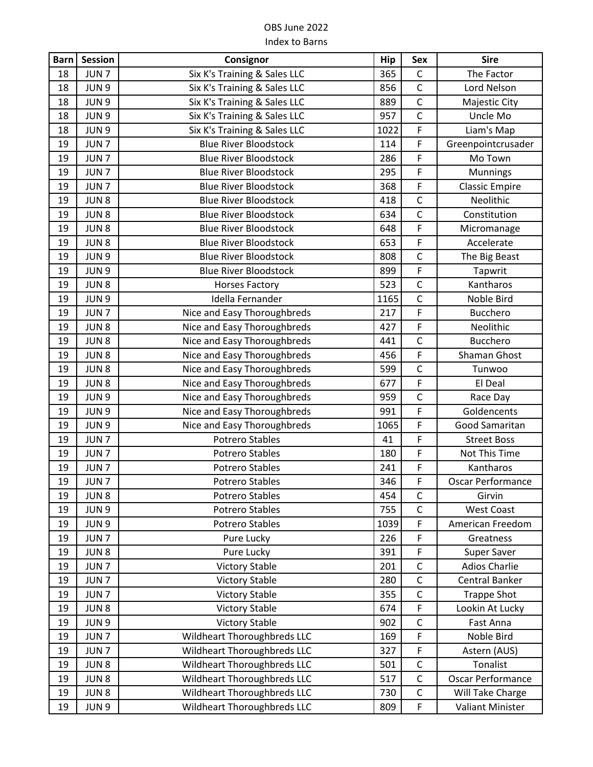| <b>Barn</b> | Session          | Consignor                          | <b>Hip</b> | Sex            | <b>Sire</b>              |
|-------------|------------------|------------------------------------|------------|----------------|--------------------------|
| 18          | JUN <sub>7</sub> | Six K's Training & Sales LLC       | 365        | $\mathsf{C}$   | The Factor               |
| 18          | JUN 9            | Six K's Training & Sales LLC       | 856        | $\mathsf C$    | Lord Nelson              |
| 18          | JUN 9            | Six K's Training & Sales LLC       | 889        | $\mathsf{C}$   | Majestic City            |
| 18          | JUN 9            | Six K's Training & Sales LLC       | 957        | $\overline{C}$ | Uncle Mo                 |
| 18          | JUN <sub>9</sub> | Six K's Training & Sales LLC       | 1022       | F              | Liam's Map               |
| 19          | JUN <sub>7</sub> | <b>Blue River Bloodstock</b>       | 114        | F              | Greenpointcrusader       |
| 19          | JUN <sub>7</sub> | <b>Blue River Bloodstock</b>       | 286        | F              | Mo Town                  |
| 19          | JUN <sub>7</sub> | <b>Blue River Bloodstock</b>       | 295        | F              | Munnings                 |
| 19          | JUN <sub>7</sub> | <b>Blue River Bloodstock</b>       | 368        | F              | <b>Classic Empire</b>    |
| 19          | JUN <sub>8</sub> | <b>Blue River Bloodstock</b>       | 418        | $\mathsf{C}$   | Neolithic                |
| 19          | JUN <sub>8</sub> | <b>Blue River Bloodstock</b>       | 634        | $\mathsf{C}$   | Constitution             |
| 19          | JUN <sub>8</sub> | <b>Blue River Bloodstock</b>       | 648        | F              | Micromanage              |
| 19          | JUN <sub>8</sub> | <b>Blue River Bloodstock</b>       | 653        | F              | Accelerate               |
| 19          | JUN <sub>9</sub> | <b>Blue River Bloodstock</b>       | 808        | $\mathsf C$    | The Big Beast            |
| 19          | JUN 9            | <b>Blue River Bloodstock</b>       | 899        | F              | Tapwrit                  |
| 19          | JUN <sub>8</sub> | <b>Horses Factory</b>              | 523        | $\mathsf{C}$   | Kantharos                |
| 19          | JUN 9            | Idella Fernander                   | 1165       | $\mathsf C$    | Noble Bird               |
| 19          | JUN <sub>7</sub> | Nice and Easy Thoroughbreds        | 217        | F              | <b>Bucchero</b>          |
| 19          | JUN <sub>8</sub> | Nice and Easy Thoroughbreds        | 427        | F              | Neolithic                |
| 19          | JUN <sub>8</sub> | Nice and Easy Thoroughbreds        | 441        | $\mathsf{C}$   | Bucchero                 |
| 19          | JUN <sub>8</sub> | Nice and Easy Thoroughbreds        | 456        | F              | Shaman Ghost             |
| 19          | JUN <sub>8</sub> | Nice and Easy Thoroughbreds        | 599        | $\mathsf{C}$   | Tunwoo                   |
| 19          | JUN8             | Nice and Easy Thoroughbreds        | 677        | F              | El Deal                  |
| 19          | JUN <sub>9</sub> | Nice and Easy Thoroughbreds        | 959        | $\mathsf{C}$   | Race Day                 |
| 19          | JUN <sub>9</sub> | Nice and Easy Thoroughbreds        | 991        | F              | Goldencents              |
| 19          | JUN 9            | Nice and Easy Thoroughbreds        | 1065       | F              | Good Samaritan           |
| 19          | JUN <sub>7</sub> | <b>Potrero Stables</b>             | 41         | F              | <b>Street Boss</b>       |
| 19          | JUN <sub>7</sub> | <b>Potrero Stables</b>             | 180        | F              | Not This Time            |
| 19          | JUN <sub>7</sub> | <b>Potrero Stables</b>             | 241        | F              | Kantharos                |
| 19          | JUN <sub>7</sub> | <b>Potrero Stables</b>             | 346        | F              | <b>Oscar Performance</b> |
| 19          | JUN <sub>8</sub> | <b>Potrero Stables</b>             | 454        | $\mathsf C$    | Girvin                   |
| 19          | JUN 9            | <b>Potrero Stables</b>             | 755        | $\mathsf{C}$   | <b>West Coast</b>        |
| 19          | JUN 9            | Potrero Stables                    | 1039       | F              | American Freedom         |
| 19          | JUN <sub>7</sub> | Pure Lucky                         | 226        | F              | Greatness                |
| 19          | JUN <sub>8</sub> | Pure Lucky                         | 391        | F              | Super Saver              |
| 19          | JUN <sub>7</sub> | <b>Victory Stable</b>              | 201        | $\mathsf{C}$   | <b>Adios Charlie</b>     |
| 19          | JUN <sub>7</sub> | <b>Victory Stable</b>              | 280        | $\mathsf{C}$   | <b>Central Banker</b>    |
| 19          | JUN <sub>7</sub> | <b>Victory Stable</b>              | 355        | $\mathsf C$    | <b>Trappe Shot</b>       |
| 19          | JUN <sub>8</sub> | <b>Victory Stable</b>              | 674        | F              | Lookin At Lucky          |
| 19          | JUN 9            | <b>Victory Stable</b>              | 902        | $\mathsf C$    | Fast Anna                |
| 19          | JUN <sub>7</sub> | Wildheart Thoroughbreds LLC        | 169        | F              | Noble Bird               |
| 19          | JUN <sub>7</sub> | Wildheart Thoroughbreds LLC        | 327        | F              | Astern (AUS)             |
| 19          | JUN <sub>8</sub> | <b>Wildheart Thoroughbreds LLC</b> | 501        | $\mathsf C$    | Tonalist                 |
| 19          | JUN <sub>8</sub> | Wildheart Thoroughbreds LLC        | 517        | $\mathsf{C}$   | Oscar Performance        |
| 19          | JUN <sub>8</sub> | Wildheart Thoroughbreds LLC        | 730        | $\mathsf{C}$   | Will Take Charge         |
| 19          | JUN 9            | Wildheart Thoroughbreds LLC        | 809        | F              | <b>Valiant Minister</b>  |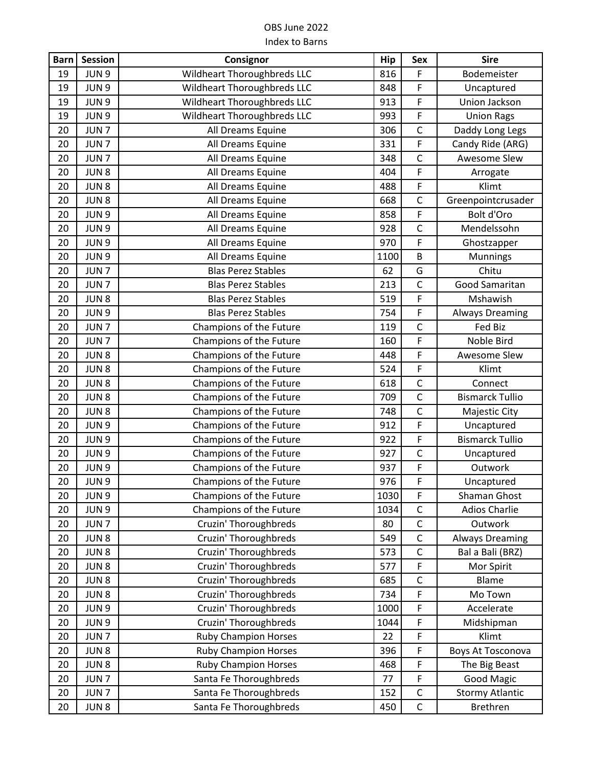| <b>Barn</b> | <b>Session</b>   | Consignor                   | Hip  | <b>Sex</b>   | <b>Sire</b>            |
|-------------|------------------|-----------------------------|------|--------------|------------------------|
| 19          | JUN 9            | Wildheart Thoroughbreds LLC | 816  | F            | Bodemeister            |
| 19          | JUN 9            | Wildheart Thoroughbreds LLC | 848  | F            | Uncaptured             |
| 19          | JUN <sub>9</sub> | Wildheart Thoroughbreds LLC | 913  | $\mathsf F$  | Union Jackson          |
| 19          | JUN <sub>9</sub> | Wildheart Thoroughbreds LLC | 993  | F            | <b>Union Rags</b>      |
| 20          | JUN <sub>7</sub> | All Dreams Equine           | 306  | $\mathsf C$  | Daddy Long Legs        |
| 20          | JUN <sub>7</sub> | All Dreams Equine           | 331  | $\mathsf{F}$ | Candy Ride (ARG)       |
| 20          | JUN <sub>7</sub> | All Dreams Equine           | 348  | $\mathsf C$  | Awesome Slew           |
| 20          | JUN <sub>8</sub> | All Dreams Equine           | 404  | F            | Arrogate               |
| 20          | JUN <sub>8</sub> | All Dreams Equine           | 488  | F            | Klimt                  |
| 20          | JUN <sub>8</sub> | All Dreams Equine           | 668  | $\mathsf C$  | Greenpointcrusader     |
| 20          | JUN 9            | All Dreams Equine           | 858  | $\mathsf F$  | Bolt d'Oro             |
| 20          | JUN 9            | All Dreams Equine           | 928  | $\mathsf C$  | Mendelssohn            |
| 20          | JUN 9            | All Dreams Equine           | 970  | $\mathsf F$  | Ghostzapper            |
| 20          | JUN 9            | All Dreams Equine           | 1100 | B            | Munnings               |
| 20          | JUN <sub>7</sub> | <b>Blas Perez Stables</b>   | 62   | G            | Chitu                  |
| 20          | JUN <sub>7</sub> | <b>Blas Perez Stables</b>   | 213  | $\mathsf{C}$ | Good Samaritan         |
| 20          | JUN <sub>8</sub> | <b>Blas Perez Stables</b>   | 519  | $\mathsf F$  | Mshawish               |
| 20          | JUN 9            | <b>Blas Perez Stables</b>   | 754  | $\mathsf F$  | <b>Always Dreaming</b> |
| 20          | JUN <sub>7</sub> | Champions of the Future     | 119  | $\mathsf C$  | Fed Biz                |
| 20          | JUN <sub>7</sub> | Champions of the Future     | 160  | $\mathsf F$  | Noble Bird             |
| 20          | JUN <sub>8</sub> | Champions of the Future     | 448  | F            | Awesome Slew           |
| 20          | JUN <sub>8</sub> | Champions of the Future     | 524  | $\mathsf F$  | Klimt                  |
| 20          | JUN <sub>8</sub> | Champions of the Future     | 618  | $\mathsf{C}$ | Connect                |
| 20          | JUN <sub>8</sub> | Champions of the Future     | 709  | $\mathsf C$  | <b>Bismarck Tullio</b> |
| 20          | JUN <sub>8</sub> | Champions of the Future     | 748  | $\mathsf{C}$ | Majestic City          |
| 20          | JUN 9            | Champions of the Future     | 912  | $\mathsf F$  | Uncaptured             |
| 20          | JUN 9            | Champions of the Future     | 922  | $\mathsf F$  | <b>Bismarck Tullio</b> |
| 20          | JUN <sub>9</sub> | Champions of the Future     | 927  | $\mathsf C$  | Uncaptured             |
| 20          | JUN <sub>9</sub> | Champions of the Future     | 937  | $\mathsf F$  | Outwork                |
| 20          | JUN <sub>9</sub> | Champions of the Future     | 976  | $\mathsf F$  | Uncaptured             |
| 20          | JUN 9            | Champions of the Future     | 1030 | F            | Shaman Ghost           |
| 20          | JUN 9            | Champions of the Future     | 1034 | $\mathsf C$  | <b>Adios Charlie</b>   |
| 20          | JUN <sub>7</sub> | Cruzin' Thoroughbreds       | 80   | $\mathsf C$  | Outwork                |
| 20          | JUN <sub>8</sub> | Cruzin' Thoroughbreds       | 549  | $\mathsf C$  | <b>Always Dreaming</b> |
| 20          | JUN <sub>8</sub> | Cruzin' Thoroughbreds       | 573  | $\mathsf{C}$ | Bal a Bali (BRZ)       |
| 20          | JUN <sub>8</sub> | Cruzin' Thoroughbreds       | 577  | $\mathsf F$  | Mor Spirit             |
| 20          | JUN <sub>8</sub> | Cruzin' Thoroughbreds       | 685  | $\mathsf C$  | Blame                  |
| 20          | JUN <sub>8</sub> | Cruzin' Thoroughbreds       | 734  | F            | Mo Town                |
| 20          | JUN 9            | Cruzin' Thoroughbreds       | 1000 | $\mathsf F$  | Accelerate             |
| 20          | JUN 9            | Cruzin' Thoroughbreds       | 1044 | F            | Midshipman             |
| 20          | JUN <sub>7</sub> | <b>Ruby Champion Horses</b> | 22   | $\mathsf F$  | Klimt                  |
| 20          | JUN 8            | <b>Ruby Champion Horses</b> | 396  | $\mathsf F$  | Boys At Tosconova      |
| 20          | JUN <sub>8</sub> | <b>Ruby Champion Horses</b> | 468  | F            | The Big Beast          |
| 20          | JUN <sub>7</sub> | Santa Fe Thoroughbreds      | 77   | $\mathsf F$  | <b>Good Magic</b>      |
| 20          | JUN <sub>7</sub> | Santa Fe Thoroughbreds      | 152  | $\mathsf C$  | <b>Stormy Atlantic</b> |
| 20          | JUN <sub>8</sub> | Santa Fe Thoroughbreds      | 450  | $\mathsf C$  | Brethren               |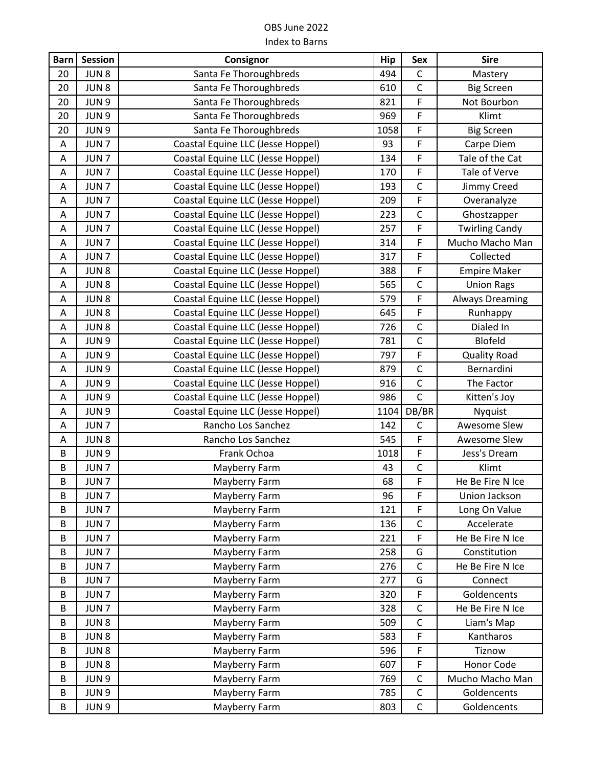| <b>Barn</b> | <b>Session</b>   | Consignor                         | <b>Hip</b> | <b>Sex</b>     | <b>Sire</b>            |
|-------------|------------------|-----------------------------------|------------|----------------|------------------------|
| 20          | JUN <sub>8</sub> | Santa Fe Thoroughbreds            | 494        | $\mathsf C$    | Mastery                |
| 20          | JUN <sub>8</sub> | Santa Fe Thoroughbreds            | 610        | $\mathsf C$    | <b>Big Screen</b>      |
| 20          | JUN <sub>9</sub> | Santa Fe Thoroughbreds            | 821        | F              | Not Bourbon            |
| 20          | JUN 9            | Santa Fe Thoroughbreds            | 969        | F              | Klimt                  |
| 20          | JUN <sub>9</sub> | Santa Fe Thoroughbreds            | 1058       | F              | <b>Big Screen</b>      |
| A           | JUN <sub>7</sub> | Coastal Equine LLC (Jesse Hoppel) | 93         | F              | Carpe Diem             |
| A           | JUN <sub>7</sub> | Coastal Equine LLC (Jesse Hoppel) | 134        | F              | Tale of the Cat        |
| $\mathsf A$ | JUN <sub>7</sub> | Coastal Equine LLC (Jesse Hoppel) | 170        | F              | Tale of Verve          |
| A           | JUN <sub>7</sub> | Coastal Equine LLC (Jesse Hoppel) | 193        | $\mathsf C$    | Jimmy Creed            |
| Α           | JUN <sub>7</sub> | Coastal Equine LLC (Jesse Hoppel) | 209        | F              | Overanalyze            |
| A           | JUN <sub>7</sub> | Coastal Equine LLC (Jesse Hoppel) | 223        | $\mathsf{C}$   | Ghostzapper            |
| Α           | JUN <sub>7</sub> | Coastal Equine LLC (Jesse Hoppel) | 257        | F              | <b>Twirling Candy</b>  |
| A           | JUN <sub>7</sub> | Coastal Equine LLC (Jesse Hoppel) | 314        | F              | Mucho Macho Man        |
| A           | JUN <sub>7</sub> | Coastal Equine LLC (Jesse Hoppel) | 317        | F              | Collected              |
| A           | JUN <sub>8</sub> | Coastal Equine LLC (Jesse Hoppel) | 388        | F              | <b>Empire Maker</b>    |
| A           | JUN <sub>8</sub> | Coastal Equine LLC (Jesse Hoppel) | 565        | $\mathsf{C}$   | <b>Union Rags</b>      |
| Α           | JUN <sub>8</sub> | Coastal Equine LLC (Jesse Hoppel) | 579        | F              | <b>Always Dreaming</b> |
| A           | JUN <sub>8</sub> | Coastal Equine LLC (Jesse Hoppel) | 645        | F              | Runhappy               |
| A           | JUN <sub>8</sub> | Coastal Equine LLC (Jesse Hoppel) | 726        | $\overline{C}$ | Dialed In              |
| A           | JUN 9            | Coastal Equine LLC (Jesse Hoppel) | 781        | $\mathsf C$    | <b>Blofeld</b>         |
| A           | JUN 9            | Coastal Equine LLC (Jesse Hoppel) | 797        | F              | <b>Quality Road</b>    |
| Α           | JUN 9            | Coastal Equine LLC (Jesse Hoppel) | 879        | $\mathsf{C}$   | Bernardini             |
| Α           | JUN 9            | Coastal Equine LLC (Jesse Hoppel) | 916        | $\mathsf C$    | The Factor             |
| A           | JUN <sub>9</sub> | Coastal Equine LLC (Jesse Hoppel) | 986        | $\mathsf{C}$   | Kitten's Joy           |
| A           | JUN 9            | Coastal Equine LLC (Jesse Hoppel) | 1104       | DB/BR          | Nyquist                |
| Α           | JUN <sub>7</sub> | Rancho Los Sanchez                | 142        | $\mathsf C$    | Awesome Slew           |
| A           | JUN <sub>8</sub> | Rancho Los Sanchez                | 545        | F              | Awesome Slew           |
| B           | JUN 9            | Frank Ochoa                       | 1018       | F              | Jess's Dream           |
| B           | JUN <sub>7</sub> | Mayberry Farm                     | 43         | $\mathsf C$    | Klimt                  |
| B           | JUN <sub>7</sub> | Mayberry Farm                     | 68         | F              | He Be Fire N Ice       |
| B           | JUN <sub>7</sub> | Mayberry Farm                     | 96         | F              | Union Jackson          |
| B           | JUN <sub>7</sub> | Mayberry Farm                     | 121        | F              | Long On Value          |
| B           | JUN <sub>7</sub> | Mayberry Farm                     | 136        | $\mathsf C$    | Accelerate             |
| B           | JUN <sub>7</sub> | Mayberry Farm                     | 221        | F              | He Be Fire N Ice       |
| B           | JUN <sub>7</sub> | Mayberry Farm                     | 258        | G              | Constitution           |
| B           | JUN <sub>7</sub> | Mayberry Farm                     | 276        | $\mathsf C$    | He Be Fire N Ice       |
| B           | JUN <sub>7</sub> | Mayberry Farm                     | 277        | G              | Connect                |
| B           | JUN <sub>7</sub> | Mayberry Farm                     | 320        | $\mathsf F$    | Goldencents            |
| B           | JUN <sub>7</sub> | Mayberry Farm                     | 328        | $\mathsf C$    | He Be Fire N Ice       |
| B           | JUN <sub>8</sub> | Mayberry Farm                     | 509        | $\mathsf C$    | Liam's Map             |
| B           | JUN <sub>8</sub> | Mayberry Farm                     | 583        | F              | Kantharos              |
| B           | JUN 8            | Mayberry Farm                     | 596        | F              | Tiznow                 |
| B           | JUN <sub>8</sub> | Mayberry Farm                     | 607        | F              | Honor Code             |
| B           | JUN 9            | Mayberry Farm                     | 769        | $\mathsf{C}$   | Mucho Macho Man        |
| B           | JUN 9            | Mayberry Farm                     | 785        | $\mathsf C$    | Goldencents            |
| B           | JUN 9            | Mayberry Farm                     | 803        | $\mathsf C$    | Goldencents            |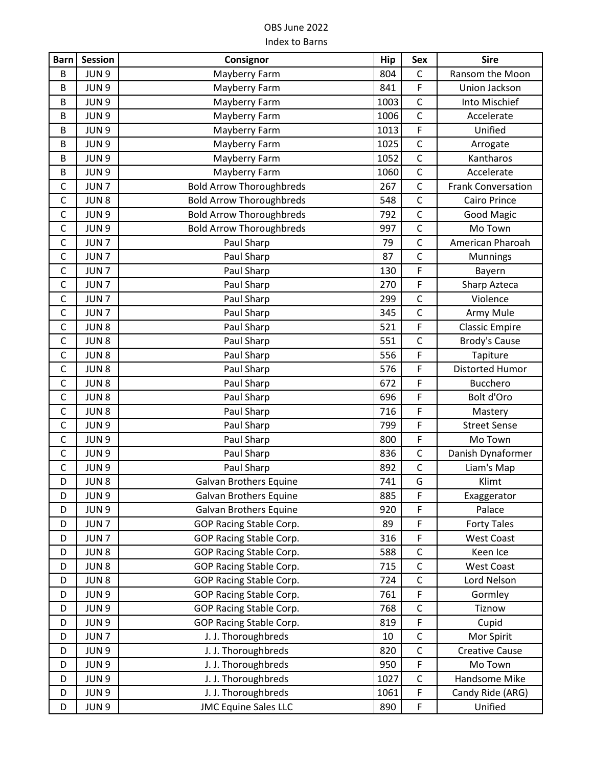| <b>Barn</b>  | <b>Session</b>   | Consignor                       | <b>Hip</b> | Sex            | <b>Sire</b>               |
|--------------|------------------|---------------------------------|------------|----------------|---------------------------|
| B            | JUN <sub>9</sub> | Mayberry Farm                   | 804        | $\mathsf{C}$   | Ransom the Moon           |
| B            | JUN 9            | Mayberry Farm                   | 841        | F              | Union Jackson             |
| B            | JUN <sub>9</sub> | Mayberry Farm                   | 1003       | $\mathsf C$    | Into Mischief             |
| $\sf B$      | JUN 9            | Mayberry Farm                   | 1006       | $\overline{C}$ | Accelerate                |
| B            | JUN 9            | Mayberry Farm                   | 1013       | F              | Unified                   |
| B            | JUN 9            | Mayberry Farm                   | 1025       | $\mathsf C$    | Arrogate                  |
| B            | JUN 9            | Mayberry Farm                   | 1052       | $\mathsf{C}$   | Kantharos                 |
| B            | JUN <sub>9</sub> | Mayberry Farm                   | 1060       | $\mathsf C$    | Accelerate                |
| $\mathsf C$  | JUN <sub>7</sub> | <b>Bold Arrow Thoroughbreds</b> | 267        | $\mathsf{C}$   | <b>Frank Conversation</b> |
| $\mathsf C$  | JUN <sub>8</sub> | <b>Bold Arrow Thoroughbreds</b> | 548        | $\mathsf{C}$   | Cairo Prince              |
| $\mathsf C$  | JUN 9            | <b>Bold Arrow Thoroughbreds</b> | 792        | $\mathsf{C}$   | <b>Good Magic</b>         |
| $\mathsf C$  | JUN 9            | <b>Bold Arrow Thoroughbreds</b> | 997        | $\mathsf C$    | Mo Town                   |
| $\mathsf C$  | JUN <sub>7</sub> | Paul Sharp                      | 79         | $\mathsf C$    | American Pharoah          |
| $\mathsf C$  | JUN <sub>7</sub> | Paul Sharp                      | 87         | $\mathsf{C}$   | Munnings                  |
| $\mathsf C$  | JUN <sub>7</sub> | Paul Sharp                      | 130        | F              | Bayern                    |
| $\mathsf C$  | JUN <sub>7</sub> | Paul Sharp                      | 270        | F              | Sharp Azteca              |
| $\mathsf C$  | JUN <sub>7</sub> | Paul Sharp                      | 299        | $\mathsf C$    | Violence                  |
| $\mathsf C$  | JUN <sub>7</sub> | Paul Sharp                      | 345        | $\mathsf C$    | Army Mule                 |
| $\mathsf C$  | JUN <sub>8</sub> | Paul Sharp                      | 521        | F              | <b>Classic Empire</b>     |
| $\mathsf C$  | JUN <sub>8</sub> | Paul Sharp                      | 551        | $\mathsf{C}$   | <b>Brody's Cause</b>      |
| $\mathsf{C}$ | JUN8             | Paul Sharp                      | 556        | F              | Tapiture                  |
| $\mathsf C$  | JUN <sub>8</sub> | Paul Sharp                      | 576        | F              | <b>Distorted Humor</b>    |
| $\mathsf C$  | JUN8             | Paul Sharp                      | 672        | F              | <b>Bucchero</b>           |
| $\mathsf C$  | JUN <sub>8</sub> | Paul Sharp                      | 696        | F              | Bolt d'Oro                |
| $\mathsf C$  | JUN <sub>8</sub> | Paul Sharp                      | 716        | F              | Mastery                   |
| $\mathsf{C}$ | JUN 9            | Paul Sharp                      | 799        | F              | <b>Street Sense</b>       |
| $\mathsf C$  | JUN <sub>9</sub> | Paul Sharp                      | 800        | F              | Mo Town                   |
| $\mathsf{C}$ | JUN 9            | Paul Sharp                      | 836        | $\mathsf{C}$   | Danish Dynaformer         |
| $\mathsf{C}$ | JUN 9            | Paul Sharp                      | 892        | $\overline{C}$ | Liam's Map                |
| D            | JUN <sub>8</sub> | <b>Galvan Brothers Equine</b>   | 741        | G              | Klimt                     |
| D            | JUN <sub>9</sub> | <b>Galvan Brothers Equine</b>   | 885        | F              | Exaggerator               |
| D            | JUN 9            | <b>Galvan Brothers Equine</b>   | 920        | F              | Palace                    |
| D            | JUN <sub>7</sub> | GOP Racing Stable Corp.         | 89         | F              | <b>Forty Tales</b>        |
| D            | JUN <sub>7</sub> | GOP Racing Stable Corp.         | 316        | F              | <b>West Coast</b>         |
| D            | JUN <sub>8</sub> | GOP Racing Stable Corp.         | 588        | $\mathsf{C}$   | Keen Ice                  |
| D            | JUN <sub>8</sub> | GOP Racing Stable Corp.         | 715        | $\mathsf C$    | <b>West Coast</b>         |
| D            | JUN 8            | GOP Racing Stable Corp.         | 724        | $\mathsf C$    | Lord Nelson               |
| D            | JUN 9            | GOP Racing Stable Corp.         | 761        | F              | Gormley                   |
| D            | JUN <sub>9</sub> | GOP Racing Stable Corp.         | 768        | $\mathsf C$    | Tiznow                    |
| D            | JUN 9            | GOP Racing Stable Corp.         | 819        | F              | Cupid                     |
| D            | JUN <sub>7</sub> | J. J. Thoroughbreds             | 10         | $\mathsf C$    | Mor Spirit                |
| D            | JUN 9            | J. J. Thoroughbreds             | 820        | $\mathsf{C}$   | <b>Creative Cause</b>     |
| D            | JUN 9            | J. J. Thoroughbreds             | 950        | F              | Mo Town                   |
| D            | JUN <sub>9</sub> | J. J. Thoroughbreds             | 1027       | C              | Handsome Mike             |
| D            | JUN 9            | J. J. Thoroughbreds             | 1061       | F              | Candy Ride (ARG)          |
| D            | JUN <sub>9</sub> | <b>JMC Equine Sales LLC</b>     | 890        | F              | Unified                   |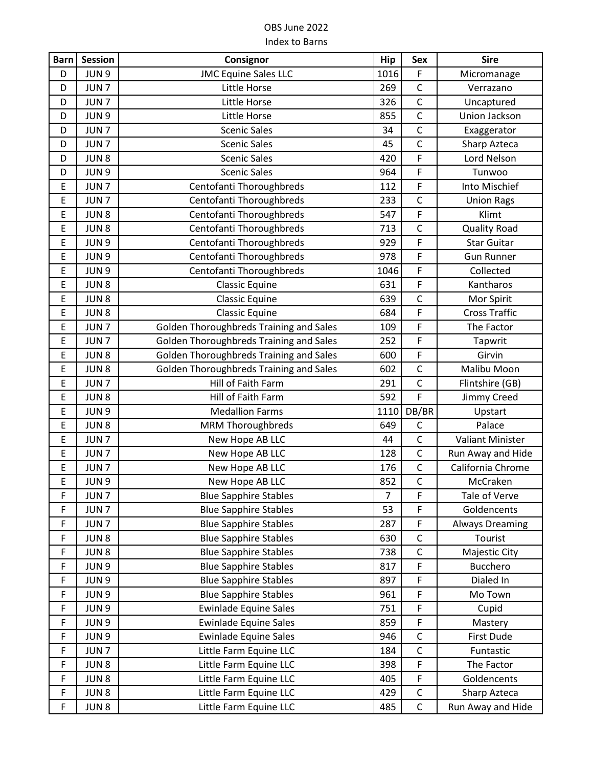| <b>Barn</b> | <b>Session</b>   | Consignor                               | Hip            | Sex            | <b>Sire</b>             |
|-------------|------------------|-----------------------------------------|----------------|----------------|-------------------------|
| D           | JUN <sub>9</sub> | <b>JMC Equine Sales LLC</b>             | 1016           | F              | Micromanage             |
| D           | JUN <sub>7</sub> | Little Horse                            | 269            | $\mathsf{C}$   | Verrazano               |
| D           | JUN <sub>7</sub> | Little Horse                            | 326            | $\mathsf{C}$   | Uncaptured              |
| D           | JUN 9            | Little Horse                            | 855            | $\mathsf{C}$   | Union Jackson           |
| D           | JUN <sub>7</sub> | <b>Scenic Sales</b>                     | 34             | $\mathsf{C}$   | Exaggerator             |
| D           | JUN <sub>7</sub> | <b>Scenic Sales</b>                     | 45             | $\mathsf{C}$   | Sharp Azteca            |
| D           | JUN8             | <b>Scenic Sales</b>                     | 420            | F              | Lord Nelson             |
| D           | JUN 9            | <b>Scenic Sales</b>                     | 964            | F              | Tunwoo                  |
| E           | JUN <sub>7</sub> | Centofanti Thoroughbreds                | 112            | F              | Into Mischief           |
| E           | JUN <sub>7</sub> | Centofanti Thoroughbreds                | 233            | $\mathsf{C}$   | <b>Union Rags</b>       |
| E           | JUN8             | Centofanti Thoroughbreds                | 547            | F              | Klimt                   |
| E           | JUN <sub>8</sub> | Centofanti Thoroughbreds                | 713            | $\mathsf C$    | <b>Quality Road</b>     |
| E           | JUN <sub>9</sub> | Centofanti Thoroughbreds                | 929            | F              | <b>Star Guitar</b>      |
| E           | JUN <sub>9</sub> | Centofanti Thoroughbreds                | 978            | F              | <b>Gun Runner</b>       |
| E           | JUN <sub>9</sub> | Centofanti Thoroughbreds                | 1046           | F              | Collected               |
| E           | JUN8             | <b>Classic Equine</b>                   | 631            | F              | Kantharos               |
| E           | JUN <sub>8</sub> | <b>Classic Equine</b>                   | 639            | $\mathsf C$    | Mor Spirit              |
| E           | JUN8             | <b>Classic Equine</b>                   | 684            | F              | <b>Cross Traffic</b>    |
| E           | JUN <sub>7</sub> | Golden Thoroughbreds Training and Sales | 109            | F              | The Factor              |
| E           | JUN <sub>7</sub> | Golden Thoroughbreds Training and Sales | 252            | $\mathsf F$    | Tapwrit                 |
| E           | JUN <sub>8</sub> | Golden Thoroughbreds Training and Sales | 600            | F              | Girvin                  |
| E           | JUN <sub>8</sub> | Golden Thoroughbreds Training and Sales | 602            | $\mathsf{C}$   | Malibu Moon             |
| E           | JUN <sub>7</sub> | Hill of Faith Farm                      | 291            | $\mathsf{C}$   | Flintshire (GB)         |
| E           | JUN <sub>8</sub> | Hill of Faith Farm                      | 592            | F              | Jimmy Creed             |
| E           | JUN <sub>9</sub> | <b>Medallion Farms</b>                  | 1110           | DB/BR          | Upstart                 |
| E           | JUN <sub>8</sub> | <b>MRM Thoroughbreds</b>                | 649            | $\mathsf{C}$   | Palace                  |
| E           | JUN <sub>7</sub> | New Hope AB LLC                         | 44             | $\mathsf C$    | <b>Valiant Minister</b> |
| E           | JUN <sub>7</sub> | New Hope AB LLC                         | 128            | $\mathsf{C}$   | Run Away and Hide       |
| E           | JUN <sub>7</sub> | New Hope AB LLC                         | 176            | $\mathsf C$    | California Chrome       |
| E           | JUN <sub>9</sub> | New Hope AB LLC                         | 852            | $\overline{C}$ | McCraken                |
| F           | JUN <sub>7</sub> | <b>Blue Sapphire Stables</b>            | $\overline{7}$ | F              | Tale of Verve           |
| F           | JUN <sub>7</sub> | <b>Blue Sapphire Stables</b>            | 53             | F              | Goldencents             |
| F           | JUN <sub>7</sub> | <b>Blue Sapphire Stables</b>            | 287            | F              | <b>Always Dreaming</b>  |
| F           | JUN <sub>8</sub> | <b>Blue Sapphire Stables</b>            | 630            | C              | Tourist                 |
| F           | JUN <sub>8</sub> | <b>Blue Sapphire Stables</b>            | 738            | $\mathsf{C}$   | Majestic City           |
| F           | JUN 9            | <b>Blue Sapphire Stables</b>            | 817            | F              | Bucchero                |
| $\mathsf F$ | JUN 9            | <b>Blue Sapphire Stables</b>            | 897            | F              | Dialed In               |
| F           | JUN 9            | <b>Blue Sapphire Stables</b>            | 961            | F              | Mo Town                 |
| F           | JUN 9            | <b>Ewinlade Equine Sales</b>            | 751            | F              | Cupid                   |
| F           | JUN 9            | <b>Ewinlade Equine Sales</b>            | 859            | F              | Mastery                 |
| $\mathsf F$ | JUN <sub>9</sub> | <b>Ewinlade Equine Sales</b>            | 946            | $\mathsf C$    | First Dude              |
| $\mathsf F$ | JUN <sub>7</sub> | Little Farm Equine LLC                  | 184            | $\mathsf{C}$   | Funtastic               |
| $\mathsf F$ | JUN <sub>8</sub> | Little Farm Equine LLC                  | 398            | F              | The Factor              |
| $\mathsf F$ | JUN <sub>8</sub> | Little Farm Equine LLC                  | 405            | F              | Goldencents             |
| F           | JUN <sub>8</sub> | Little Farm Equine LLC                  | 429            | $\mathsf C$    | Sharp Azteca            |
| F           | JUN <sub>8</sub> | Little Farm Equine LLC                  | 485            | $\mathsf C$    | Run Away and Hide       |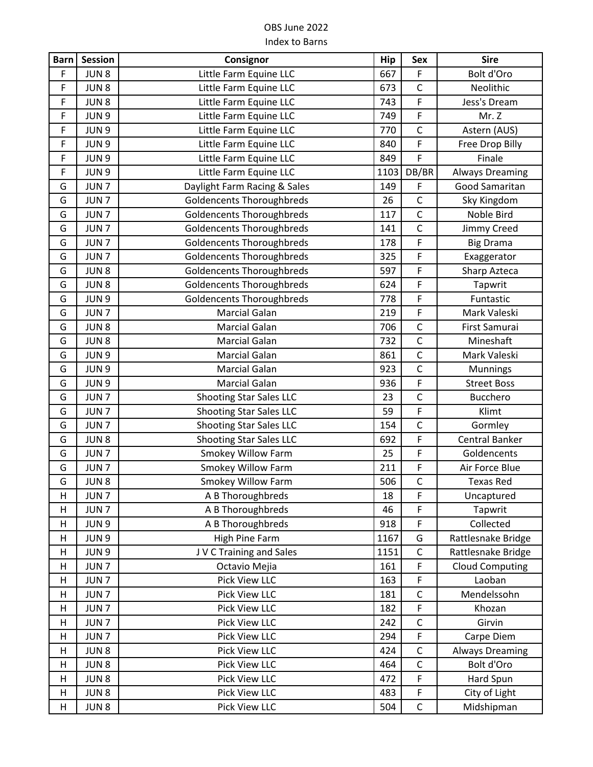| <b>Barn</b> | <b>Session</b>   | Consignor                        | Hip  | Sex          | <b>Sire</b>            |
|-------------|------------------|----------------------------------|------|--------------|------------------------|
| $\mathsf F$ | JUN <sub>8</sub> | Little Farm Equine LLC           | 667  | F            | Bolt d'Oro             |
| F           | JUN <sub>8</sub> | Little Farm Equine LLC           | 673  | $\mathsf C$  | Neolithic              |
| $\mathsf F$ | JUN <sub>8</sub> | Little Farm Equine LLC           | 743  | F            | Jess's Dream           |
| F           | JUN <sub>9</sub> | Little Farm Equine LLC           | 749  | F            | Mr. Z                  |
| $\mathsf F$ | JUN <sub>9</sub> | Little Farm Equine LLC           | 770  | $\mathsf C$  | Astern (AUS)           |
| $\mathsf F$ | JUN 9            | Little Farm Equine LLC           | 840  | F            | Free Drop Billy        |
| F           | JUN 9            | Little Farm Equine LLC           | 849  | F            | Finale                 |
| F           | JUN 9            | Little Farm Equine LLC           | 1103 | DB/BR        | <b>Always Dreaming</b> |
| G           | JUN <sub>7</sub> | Daylight Farm Racing & Sales     | 149  | F            | Good Samaritan         |
| G           | JUN <sub>7</sub> | <b>Goldencents Thoroughbreds</b> | 26   | $\mathsf C$  | Sky Kingdom            |
| G           | JUN <sub>7</sub> | <b>Goldencents Thoroughbreds</b> | 117  | C            | Noble Bird             |
| G           | JUN <sub>7</sub> | <b>Goldencents Thoroughbreds</b> | 141  | $\mathsf{C}$ | Jimmy Creed            |
| G           | JUN <sub>7</sub> | <b>Goldencents Thoroughbreds</b> | 178  | F            | <b>Big Drama</b>       |
| G           | JUN <sub>7</sub> | <b>Goldencents Thoroughbreds</b> | 325  | F            | Exaggerator            |
| G           | JUN <sub>8</sub> | <b>Goldencents Thoroughbreds</b> | 597  | F            | Sharp Azteca           |
| G           | JUN <sub>8</sub> | <b>Goldencents Thoroughbreds</b> | 624  | F            | Tapwrit                |
| G           | JUN <sub>9</sub> | <b>Goldencents Thoroughbreds</b> | 778  | F            | Funtastic              |
| G           | JUN <sub>7</sub> | <b>Marcial Galan</b>             | 219  | F            | Mark Valeski           |
| G           | JUN <sub>8</sub> | <b>Marcial Galan</b>             | 706  | $\mathsf C$  | First Samurai          |
| G           | JUN <sub>8</sub> | <b>Marcial Galan</b>             | 732  | $\mathsf C$  | Mineshaft              |
| G           | JUN <sub>9</sub> | <b>Marcial Galan</b>             | 861  | $\mathsf C$  | Mark Valeski           |
| G           | JUN <sub>9</sub> | <b>Marcial Galan</b>             | 923  | $\mathsf C$  | <b>Munnings</b>        |
| G           | JUN <sub>9</sub> | <b>Marcial Galan</b>             | 936  | F            | <b>Street Boss</b>     |
| G           | JUN <sub>7</sub> | <b>Shooting Star Sales LLC</b>   | 23   | $\mathsf C$  | <b>Bucchero</b>        |
| G           | JUN <sub>7</sub> | <b>Shooting Star Sales LLC</b>   | 59   | F            | Klimt                  |
| G           | JUN <sub>7</sub> | <b>Shooting Star Sales LLC</b>   | 154  | $\mathsf C$  | Gormley                |
| G           | JUN <sub>8</sub> | <b>Shooting Star Sales LLC</b>   | 692  | F            | <b>Central Banker</b>  |
| G           | JUN <sub>7</sub> | <b>Smokey Willow Farm</b>        | 25   | F            | Goldencents            |
| G           | JUN <sub>7</sub> | Smokey Willow Farm               | 211  | F            | Air Force Blue         |
| G           | JUN8             | <b>Smokey Willow Farm</b>        | 506  | $\mathsf C$  | <b>Texas Red</b>       |
| н           | JUN <sub>7</sub> | A B Thoroughbreds                | 18   | F            | Uncaptured             |
| Н           | JUN <sub>7</sub> | A B Thoroughbreds                | 46   | F            | Tapwrit                |
| H           | JUN 9            | A B Thoroughbreds                | 918  | F            | Collected              |
| н           | JUN <sub>9</sub> | <b>High Pine Farm</b>            | 1167 | G            | Rattlesnake Bridge     |
| н           | JUN <sub>9</sub> | J V C Training and Sales         | 1151 | $\mathsf C$  | Rattlesnake Bridge     |
| н           | JUN <sub>7</sub> | Octavio Mejia                    | 161  | F            | <b>Cloud Computing</b> |
| Н           | JUN <sub>7</sub> | Pick View LLC                    | 163  | F            | Laoban                 |
| н           | JUN <sub>7</sub> | Pick View LLC                    | 181  | $\mathsf C$  | Mendelssohn            |
| н           | JUN <sub>7</sub> | Pick View LLC                    | 182  | F            | Khozan                 |
| H           | JUN <sub>7</sub> | Pick View LLC                    | 242  | $\mathsf{C}$ | Girvin                 |
| н           | JUN <sub>7</sub> | Pick View LLC                    | 294  | F            | Carpe Diem             |
| H           | JUN <sub>8</sub> | Pick View LLC                    | 424  | $\mathsf C$  | <b>Always Dreaming</b> |
| н           | JUN <sub>8</sub> | Pick View LLC                    | 464  | $\mathsf C$  | Bolt d'Oro             |
| Н           | JUN <sub>8</sub> | Pick View LLC                    | 472  | F            | Hard Spun              |
| н           | JUN 8            | Pick View LLC                    | 483  | F            | City of Light          |
| Н           | JUN <sub>8</sub> | Pick View LLC                    | 504  | $\mathsf C$  | Midshipman             |